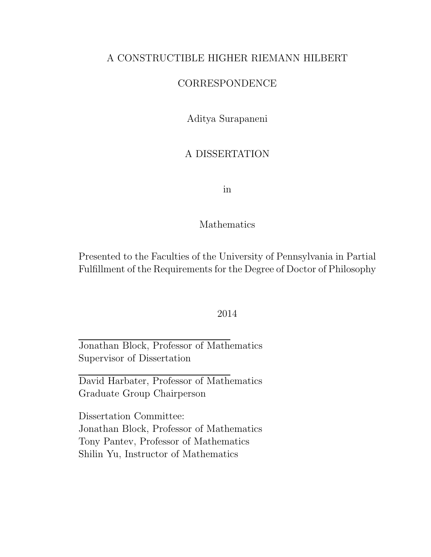## A CONSTRUCTIBLE HIGHER RIEMANN HILBERT

## CORRESPONDENCE

Aditya Surapaneni

## A DISSERTATION

in

### Mathematics

Presented to the Faculties of the University of Pennsylvania in Partial Fulfillment of the Requirements for the Degree of Doctor of Philosophy

### 2014

Jonathan Block, Professor of Mathematics Supervisor of Dissertation

David Harbater, Professor of Mathematics Graduate Group Chairperson

Dissertation Committee: Jonathan Block, Professor of Mathematics Tony Pantev, Professor of Mathematics Shilin Yu, Instructor of Mathematics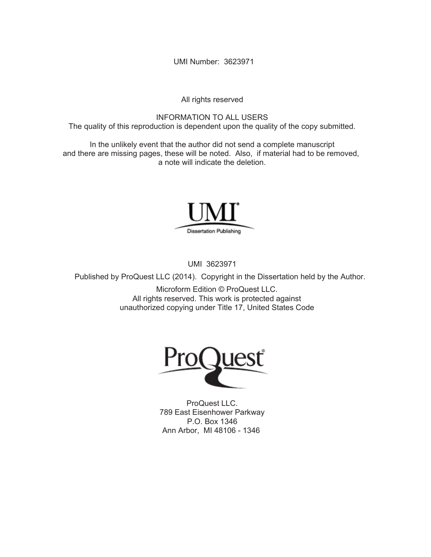UMI Number: 3623971

All rights reserved

INFORMATION TO ALL USERS The quality of this reproduction is dependent upon the quality of the copy submitted.

In the unlikely event that the author did not send a complete manuscript and there are missing pages, these will be noted. Also, if material had to be removed, a note will indicate the deletion.



UMI 3623971

Published by ProQuest LLC (2014). Copyright in the Dissertation held by the Author.

Microform Edition © ProQuest LLC. All rights reserved. This work is protected against unauthorized copying under Title 17, United States Code



ProQuest LLC. 789 East Eisenhower Parkway P.O. Box 1346 Ann Arbor, MI 48106 - 1346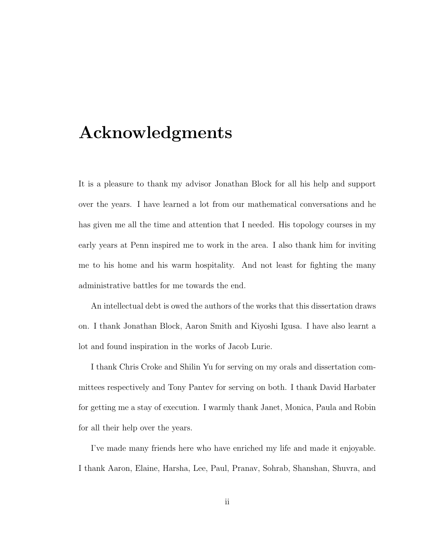# Acknowledgments

It is a pleasure to thank my advisor Jonathan Block for all his help and support over the years. I have learned a lot from our mathematical conversations and he has given me all the time and attention that I needed. His topology courses in my early years at Penn inspired me to work in the area. I also thank him for inviting me to his home and his warm hospitality. And not least for fighting the many administrative battles for me towards the end.

An intellectual debt is owed the authors of the works that this dissertation draws on. I thank Jonathan Block, Aaron Smith and Kiyoshi Igusa. I have also learnt a lot and found inspiration in the works of Jacob Lurie.

I thank Chris Croke and Shilin Yu for serving on my orals and dissertation committees respectively and Tony Pantev for serving on both. I thank David Harbater for getting me a stay of execution. I warmly thank Janet, Monica, Paula and Robin for all their help over the years.

I've made many friends here who have enriched my life and made it enjoyable. I thank Aaron, Elaine, Harsha, Lee, Paul, Pranav, Sohrab, Shanshan, Shuvra, and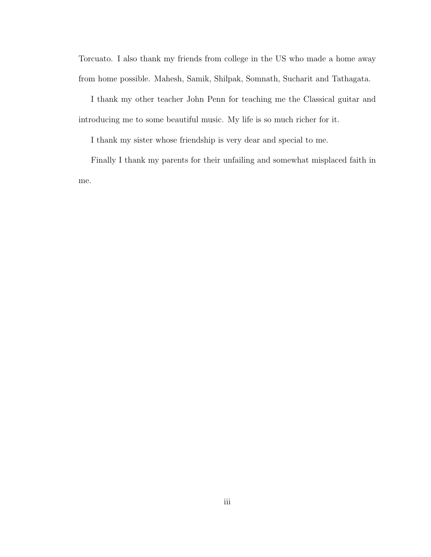Torcuato. I also thank my friends from college in the US who made a home away from home possible. Mahesh, Samik, Shilpak, Somnath, Sucharit and Tathagata.

I thank my other teacher John Penn for teaching me the Classical guitar and introducing me to some beautiful music. My life is so much richer for it.

I thank my sister whose friendship is very dear and special to me.

Finally I thank my parents for their unfailing and somewhat misplaced faith in me.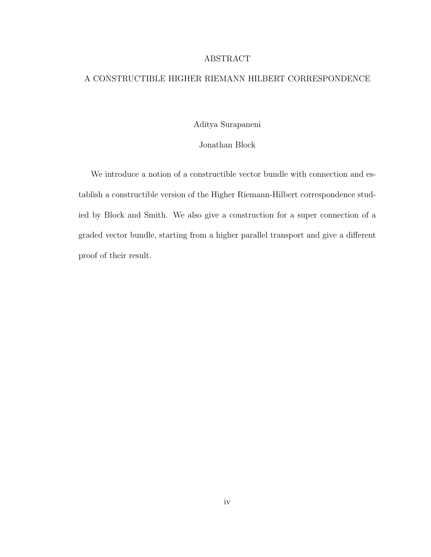### ABSTRACT

### A CONSTRUCTIBLE HIGHER RIEMANN HILBERT CORRESPONDENCE

Aditya Surapaneni

Jonathan Block

We introduce a notion of a constructible vector bundle with connection and establish a constructible version of the Higher Riemann-Hilbert correspondence studied by Block and Smith. We also give a construction for a super connection of a graded vector bundle, starting from a higher parallel transport and give a different proof of their result.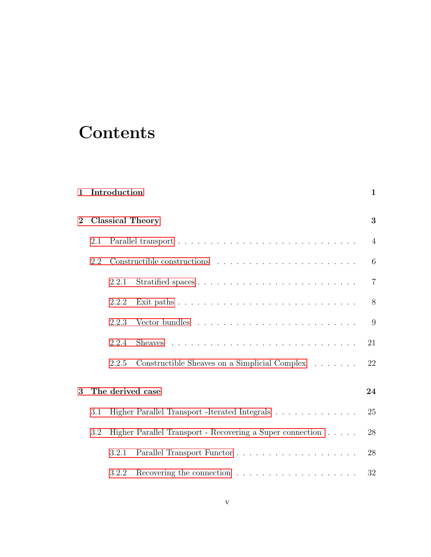# **Contents**

| $\mathbf 1$  |     | Introduction            |                                                           | $\mathbf{1}$   |
|--------------|-----|-------------------------|-----------------------------------------------------------|----------------|
| $\mathbf{2}$ |     | <b>Classical Theory</b> |                                                           | 3              |
|              | 2.1 |                         |                                                           | $\overline{4}$ |
|              | 2.2 |                         |                                                           | 6              |
|              |     | 2.2.1                   |                                                           | $\overline{7}$ |
|              |     | 2.2.2                   |                                                           | $8\,$          |
|              |     | 2.2.3                   |                                                           | 9              |
|              |     | 2.2.4                   |                                                           | 21             |
|              |     | 2.2.5                   | Constructible Sheaves on a Simplicial Complex             | 22             |
| 3            |     | The derived case        |                                                           | 24             |
|              | 3.1 |                         | Higher Parallel Transport -Iterated Integrals             | 25             |
|              | 3.2 |                         | Higher Parallel Transport - Recovering a Super connection | 28             |
|              |     | 3.2.1                   |                                                           | 28             |
|              |     | 3.2.2                   |                                                           | 32             |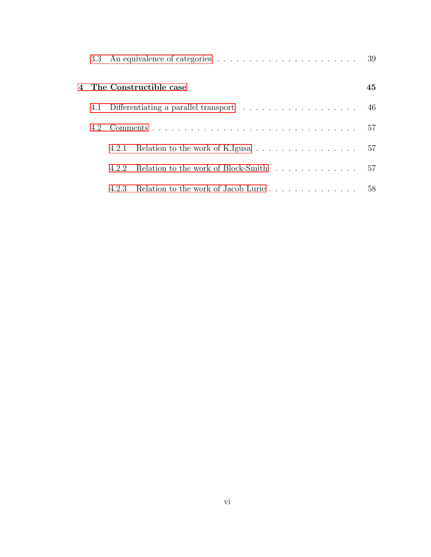|     |       |                                                                                | 39 |
|-----|-------|--------------------------------------------------------------------------------|----|
|     |       | 4 The Constructible case                                                       | 45 |
| 4.1 |       |                                                                                | 46 |
| 4.2 |       |                                                                                |    |
|     | 4.2.1 | Relation to the work of K.Igusa $\ldots \ldots \ldots \ldots \ldots \ldots 57$ |    |
|     | 422   | Relation to the work of Block-Smith                                            | 57 |
|     | 4.2.3 |                                                                                |    |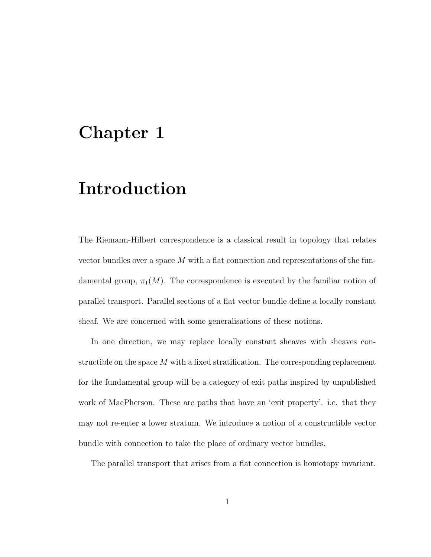# <span id="page-7-0"></span>Chapter 1

# Introduction

The Riemann-Hilbert correspondence is a classical result in topology that relates vector bundles over a space M with a flat connection and representations of the fundamental group,  $\pi_1(M)$ . The correspondence is executed by the familiar notion of parallel transport. Parallel sections of a flat vector bundle define a locally constant sheaf. We are concerned with some generalisations of these notions.

In one direction, we may replace locally constant sheaves with sheaves constructible on the space  $M$  with a fixed stratification. The corresponding replacement for the fundamental group will be a category of exit paths inspired by unpublished work of MacPherson. These are paths that have an 'exit property'. i.e. that they may not re-enter a lower stratum. We introduce a notion of a constructible vector bundle with connection to take the place of ordinary vector bundles.

The parallel transport that arises from a flat connection is homotopy invariant.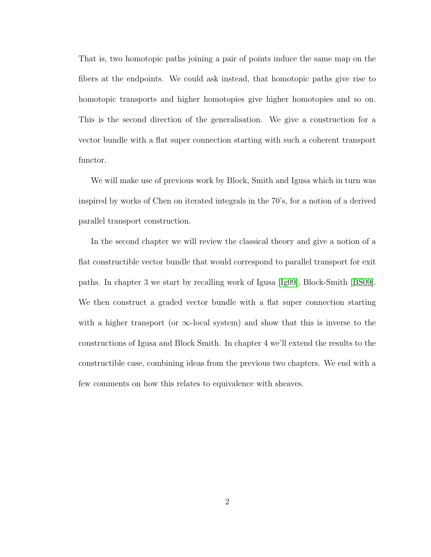That is, two homotopic paths joining a pair of points induce the same map on the fibers at the endpoints. We could ask instead, that homotopic paths give rise to homotopic transports and higher homotopies give higher homotopies and so on. This is the second direction of the generalisation. We give a construction for a vector bundle with a flat super connection starting with such a coherent transport functor.

We will make use of previous work by Block, Smith and Igusa which in turn was inspired by works of Chen on iterated integrals in the 70's, for a notion of a derived parallel transport construction.

In the second chapter we will review the classical theory and give a notion of a flat constructible vector bundle that would correspond to parallel transport for exit paths. In chapter 3 we start by recalling work of Igusa [\[Ig09\]](#page-68-0), Block-Smith [\[BS09\]](#page-67-0). We then construct a graded vector bundle with a flat super connection starting with a higher transport (or  $\infty$ -local system) and show that this is inverse to the constructions of Igusa and Block Smith. In chapter 4 we'll extend the results to the constructible case, combining ideas from the previous two chapters. We end with a few comments on how this relates to equivalence with sheaves.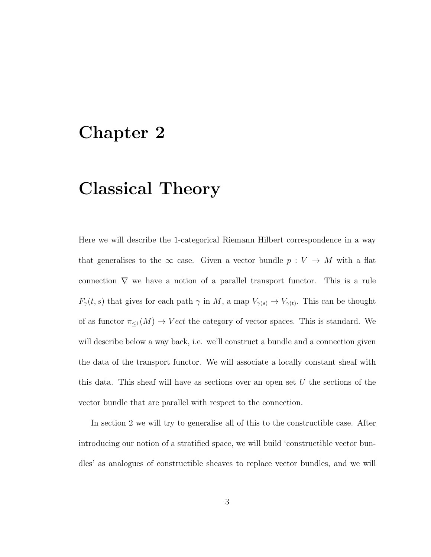# <span id="page-9-0"></span>Chapter 2

# Classical Theory

Here we will describe the 1-categorical Riemann Hilbert correspondence in a way that generalises to the  $\infty$  case. Given a vector bundle  $p: V \to M$  with a flat connection  $\nabla$  we have a notion of a parallel transport functor. This is a rule  $F_{\gamma}(t, s)$  that gives for each path  $\gamma$  in M, a map  $V_{\gamma(s)} \to V_{\gamma(t)}$ . This can be thought of as functor  $\pi_{\leq 1}(M) \to Vect$  the category of vector spaces. This is standard. We will describe below a way back, i.e. we'll construct a bundle and a connection given the data of the transport functor. We will associate a locally constant sheaf with this data. This sheaf will have as sections over an open set  $U$  the sections of the vector bundle that are parallel with respect to the connection.

In section 2 we will try to generalise all of this to the constructible case. After introducing our notion of a stratified space, we will build 'constructible vector bundles' as analogues of constructible sheaves to replace vector bundles, and we will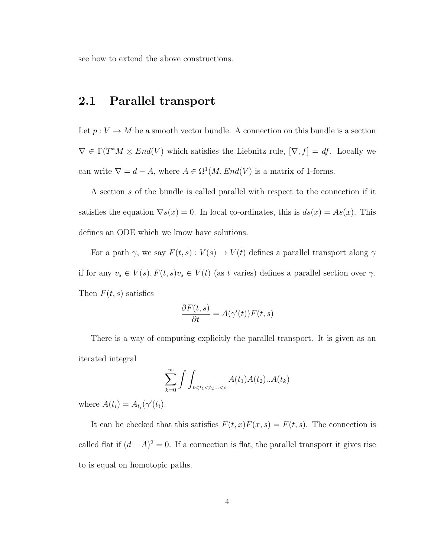<span id="page-10-0"></span>see how to extend the above constructions.

## 2.1 Parallel transport

Let  $p: V \to M$  be a smooth vector bundle. A connection on this bundle is a section  $\nabla \in \Gamma(T^*M \otimes End(V)$  which satisfies the Liebnitz rule,  $[\nabla, f] = df$ . Locally we can write  $\nabla = d - A$ , where  $A \in \Omega^1(M, End(V))$  is a matrix of 1-forms.

A section s of the bundle is called parallel with respect to the connection if it satisfies the equation  $\nabla s(x) = 0$ . In local co-ordinates, this is  $ds(x) = As(x)$ . This defines an ODE which we know have solutions.

For a path  $\gamma,$  we say  $F(t,s) : V(s) \to V(t)$  defines a parallel transport along  $\gamma$ if for any  $v_s \in V(s)$ ,  $F(t, s)v_s \in V(t)$  (as t varies) defines a parallel section over  $\gamma$ . Then  $F(t, s)$  satisfies

$$
\frac{\partial F(t,s)}{\partial t} = A(\gamma'(t))F(t,s)
$$

There is a way of computing explicitly the parallel transport. It is given as an iterated integral

$$
\sum_{k=0}^{\infty} \int \int_{t < t_1 < t_2... < s} A(t_1) A(t_2) ... A(t_k)
$$

where  $A(t_i) = A_{t_i}(\gamma'(t_i)).$ 

It can be checked that this satisfies  $F(t, x)F(x, s) = F(t, s)$ . The connection is called flat if  $(d - A)^2 = 0$ . If a connection is flat, the parallel transport it gives rise to is equal on homotopic paths.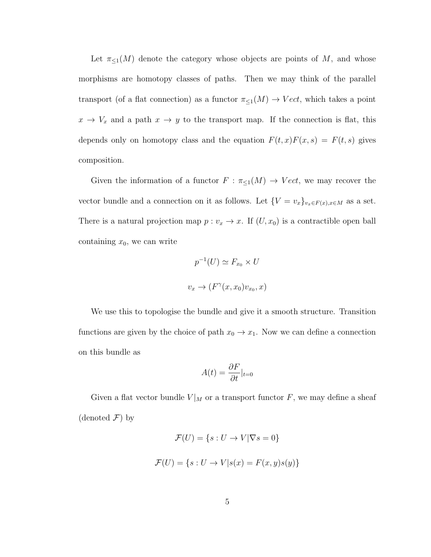Let  $\pi_{\leq 1}(M)$  denote the category whose objects are points of M, and whose morphisms are homotopy classes of paths. Then we may think of the parallel transport (of a flat connection) as a functor  $\pi_{\leq 1}(M) \to Vect$ , which takes a point  $x \to V_x$  and a path  $x \to y$  to the transport map. If the connection is flat, this depends only on homotopy class and the equation  $F(t, x)F(x, s) = F(t, s)$  gives composition.

Given the information of a functor  $F : \pi_{\leq 1}(M) \to Vect$ , we may recover the vector bundle and a connection on it as follows. Let  $\{V = v_x\}_{v_x \in F(x), x \in M}$  as a set. There is a natural projection map  $p : v_x \to x$ . If  $(U, x_0)$  is a contractible open ball containing  $x_0$ , we can write

$$
p^{-1}(U) \simeq F_{x_0} \times U
$$
  

$$
v_x \to (F^{\gamma}(x, x_0)v_{x_0}, x)
$$

We use this to topologise the bundle and give it a smooth structure. Transition functions are given by the choice of path  $x_0 \to x_1$ . Now we can define a connection on this bundle as

$$
A(t) = \frac{\partial F}{\partial t}|_{t=0}
$$

Given a flat vector bundle  $V|_M$  or a transport functor F, we may define a sheaf (denoted  $\mathcal{F}$ ) by

$$
\mathcal{F}(U) = \{s : U \to V | \nabla s = 0\}
$$

$$
\mathcal{F}(U) = \{s : U \to V | s(x) = F(x, y)s(y)\}
$$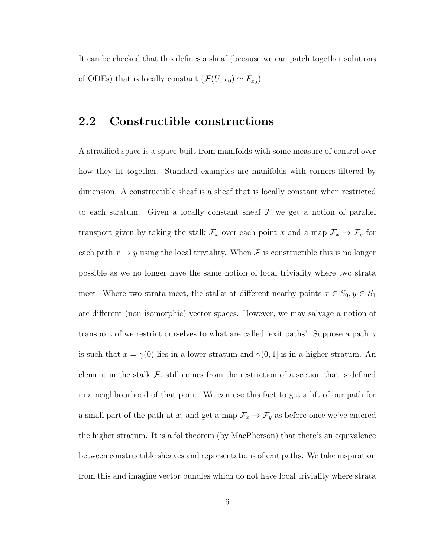It can be checked that this defines a sheaf (because we can patch together solutions of ODEs) that is locally constant  $(\mathcal{F}(U, x_0) \simeq F_{x_0})$ .

## <span id="page-12-0"></span>2.2 Constructible constructions

A stratified space is a space built from manifolds with some measure of control over how they fit together. Standard examples are manifolds with corners filtered by dimension. A constructible sheaf is a sheaf that is locally constant when restricted to each stratum. Given a locally constant sheaf  $\mathcal F$  we get a notion of parallel transport given by taking the stalk  $\mathcal{F}_x$  over each point x and a map  $\mathcal{F}_x \to \mathcal{F}_y$  for each path  $x \to y$  using the local triviality. When  $\mathcal F$  is constructible this is no longer possible as we no longer have the same notion of local triviality where two strata meet. Where two strata meet, the stalks at different nearby points  $x \in S_0, y \in S_1$ are different (non isomorphic) vector spaces. However, we may salvage a notion of transport of we restrict ourselves to what are called 'exit paths'. Suppose a path  $\gamma$ is such that  $x = \gamma(0)$  lies in a lower stratum and  $\gamma(0, 1]$  is in a higher stratum. An element in the stalk  $\mathcal{F}_x$  still comes from the restriction of a section that is defined in a neighbourhood of that point. We can use this fact to get a lift of our path for a small part of the path at x, and get a map  $\mathcal{F}_x \to \mathcal{F}_y$  as before once we've entered the higher stratum. It is a fol theorem (by MacPherson) that there's an equivalence between constructible sheaves and representations of exit paths. We take inspiration from this and imagine vector bundles which do not have local triviality where strata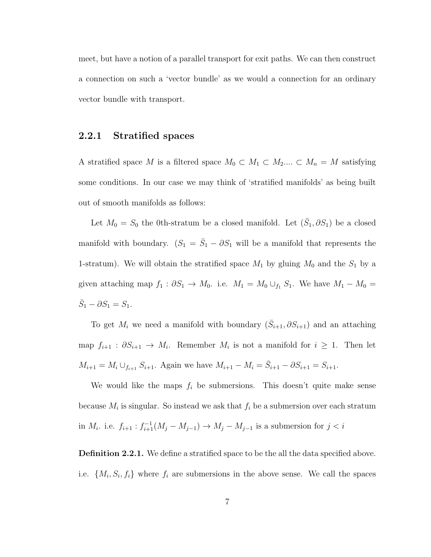meet, but have a notion of a parallel transport for exit paths. We can then construct a connection on such a 'vector bundle' as we would a connection for an ordinary vector bundle with transport.

### <span id="page-13-0"></span>2.2.1 Stratified spaces

A stratified space M is a filtered space  $M_0 \subset M_1 \subset M_2... \subset M_n = M$  satisfying some conditions. In our case we may think of 'stratified manifolds' as being built out of smooth manifolds as follows:

Let  $M_0 = S_0$  the 0th-stratum be a closed manifold. Let  $(\bar{S}_1, \partial S_1)$  be a closed manifold with boundary.  $(S_1 = \overline{S}_1 - \partial S_1)$  will be a manifold that represents the 1-stratum). We will obtain the stratified space  $M_1$  by gluing  $M_0$  and the  $S_1$  by a given attaching map  $f_1 : \partial S_1 \to M_0$ . i.e.  $M_1 = M_0 \cup_{f_1} S_1$ . We have  $M_1 - M_0 =$  $\bar{S}_1 - \partial S_1 = S_1.$ 

To get  $M_i$  we need a manifold with boundary  $(\bar{S}_{i+1}, \partial S_{i+1})$  and an attaching map  $f_{i+1}$ :  $\partial S_{i+1} \to M_i$ . Remember  $M_i$  is not a manifold for  $i \geq 1$ . Then let  $M_{i+1} = M_i \cup_{f_{i+1}} S_{i+1}$ . Again we have  $M_{i+1} - M_i = \bar{S}_{i+1} - \partial S_{i+1} = S_{i+1}$ .

We would like the maps  $f_i$  be submersions. This doesn't quite make sense because  $M_i$  is singular. So instead we ask that  $f_i$  be a submersion over each stratum in  $M_i$ . i.e.  $f_{i+1} : f_{i+1}^{-1}(M_j - M_{j-1}) \to M_j - M_{j-1}$  is a submersion for  $j < i$ 

**Definition 2.2.1.** We define a stratified space to be the all the data specified above. i.e.  $\{M_i, S_i, f_i\}$  where  $f_i$  are submersions in the above sense. We call the spaces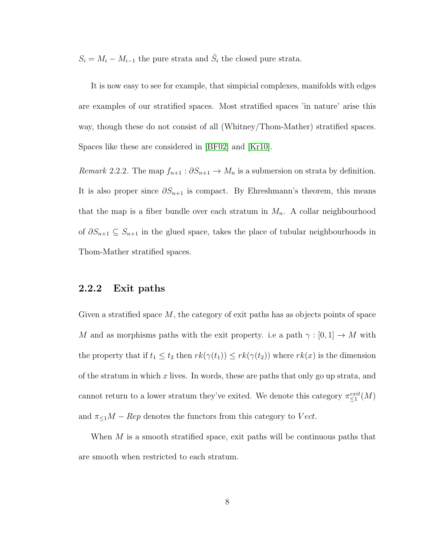$S_i = M_i - M_{i-1}$  the pure strata and  $\bar{S}_i$  the closed pure strata.

It is now easy to see for example, that simpicial complexes, manifolds with edges are examples of our stratified spaces. Most stratified spaces 'in nature' arise this way, though these do not consist of all (Whitney/Thom-Mather) stratified spaces. Spaces like these are considered in [\[BF02\]](#page-67-1) and [\[Kr10\]](#page-68-1).

Remark 2.2.2. The map  $f_{n+1} : \partial S_{n+1} \to M_n$  is a submersion on strata by definition. It is also proper since  $\partial S_{n+1}$  is compact. By Ehreshmann's theorem, this means that the map is a fiber bundle over each stratum in  $M_n$ . A collar neighbourhood of  $\partial S_{n+1}$  ⊆  $S_{n+1}$  in the glued space, takes the place of tubular neighbourhoods in Thom-Mather stratified spaces.

### <span id="page-14-0"></span>2.2.2 Exit paths

Given a stratified space  $M$ , the category of exit paths has as objects points of space M and as morphisms paths with the exit property. i.e a path  $\gamma : [0, 1] \to M$  with the property that if  $t_1 \le t_2$  then  $rk(\gamma(t_1)) \le rk(\gamma(t_2))$  where  $rk(x)$  is the dimension of the stratum in which x lives. In words, these are paths that only go up strata, and cannot return to a lower stratum they've exited. We denote this category  $\pi_{\leq 1}^{exit}(M)$ and  $\pi_{\leq 1}M - Rep$  denotes the functors from this category to Vect.

When  $M$  is a smooth stratified space, exit paths will be continuous paths that are smooth when restricted to each stratum.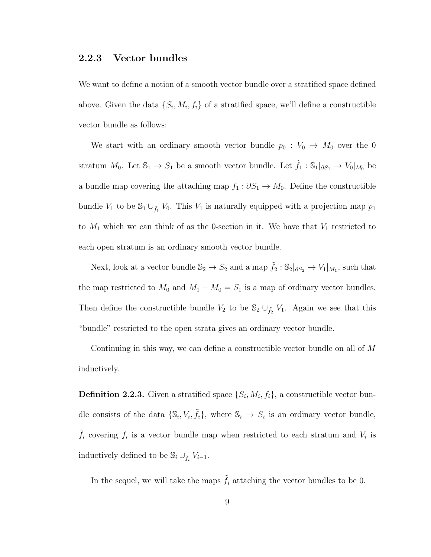### <span id="page-15-0"></span>2.2.3 Vector bundles

We want to define a notion of a smooth vector bundle over a stratified space defined above. Given the data  $\{S_i, M_i, f_i\}$  of a stratified space, we'll define a constructible vector bundle as follows:

We start with an ordinary smooth vector bundle  $p_0 : V_0 \to M_0$  over the 0 stratum  $M_0$ . Let  $\mathbb{S}_1 \to S_1$  be a smooth vector bundle. Let  $\tilde{f}_1 : \mathbb{S}_1|_{\partial S_1} \to V_0|_{M_0}$  be a bundle map covering the attaching map  $f_1 : \partial S_1 \to M_0$ . Define the constructible bundle  $V_1$  to be  $\mathbb{S}_1 \cup_{\tilde{f}_1} V_0$ . This  $V_1$  is naturally equipped with a projection map  $p_1$ to  $M_1$  which we can think of as the 0-section in it. We have that  $V_1$  restricted to each open stratum is an ordinary smooth vector bundle.

Next, look at a vector bundle  $\mathbb{S}_2 \to S_2$  and a map  $\tilde{f}_2 : \mathbb{S}_2|_{\partial S_2} \to V_1|_{M_1}$ , such that the map restricted to  $M_0$  and  $M_1 - M_0 = S_1$  is a map of ordinary vector bundles. Then define the constructible bundle  $V_2$  to be  $\mathbb{S}_2 \cup_{\tilde{f}_2} V_1$ . Again we see that this "bundle" restricted to the open strata gives an ordinary vector bundle.

Continuing in this way, we can define a constructible vector bundle on all of M inductively.

**Definition 2.2.3.** Given a stratified space  $\{S_i, M_i, f_i\}$ , a constructible vector bundle consists of the data  $\{\mathbb{S}_i, V_i, \tilde{f}_i\}$ , where  $\mathbb{S}_i \to S_i$  is an ordinary vector bundle,  $\tilde{f}_i$  covering  $f_i$  is a vector bundle map when restricted to each stratum and  $V_i$  is inductively defined to be  $\mathbb{S}_i \cup_{\tilde{f}_i} V_{i-1}$ .

In the sequel, we will take the maps  $\tilde{f}_i$  attaching the vector bundles to be 0.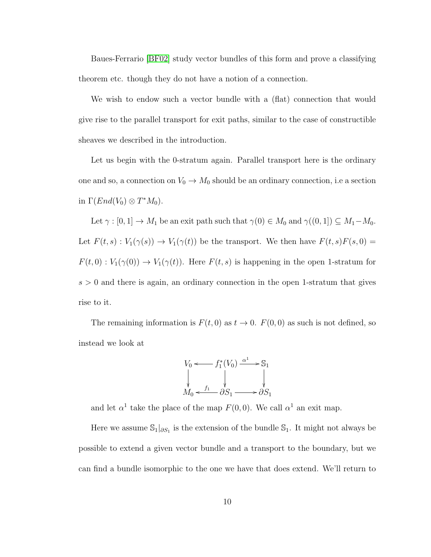Baues-Ferrario [\[BF02\]](#page-67-1) study vector bundles of this form and prove a classifying theorem etc. though they do not have a notion of a connection.

We wish to endow such a vector bundle with a (flat) connection that would give rise to the parallel transport for exit paths, similar to the case of constructible sheaves we described in the introduction.

Let us begin with the 0-stratum again. Parallel transport here is the ordinary one and so, a connection on  $V_0 \to M_0$  should be an ordinary connection, i.e a section in  $\Gamma(End(V_0) \otimes T^*M_0)$ .

Let  $\gamma : [0, 1] \to M_1$  be an exit path such that  $\gamma(0) \in M_0$  and  $\gamma((0, 1]) \subseteq M_1 - M_0$ . Let  $F(t, s) : V_1(\gamma(s)) \to V_1(\gamma(t))$  be the transport. We then have  $F(t, s)F(s, 0) =$  $F(t, 0) : V_1(\gamma(0)) \to V_1(\gamma(t))$ . Here  $F(t, s)$  is happening in the open 1-stratum for  $s > 0$  and there is again, an ordinary connection in the open 1-stratum that gives rise to it.

The remaining information is  $F(t, 0)$  as  $t \to 0$ .  $F(0, 0)$  as such is not defined, so instead we look at

$$
V_0 \longleftarrow f_1^*(V_0) \xrightarrow{\alpha^1} S_1
$$
  
\n
$$
\downarrow \qquad \qquad \downarrow
$$
  
\n
$$
M_0 \longleftarrow f_1 \qquad \qquad \downarrow S_1
$$
  
\n
$$
S_1 \longrightarrow S_2
$$

and let  $\alpha^1$  take the place of the map  $F(0,0)$ . We call  $\alpha^1$  an exit map.

Here we assume  $\mathbb{S}_1|_{\partial S_1}$  is the extension of the bundle  $\mathbb{S}_1$ . It might not always be possible to extend a given vector bundle and a transport to the boundary, but we can find a bundle isomorphic to the one we have that does extend. We'll return to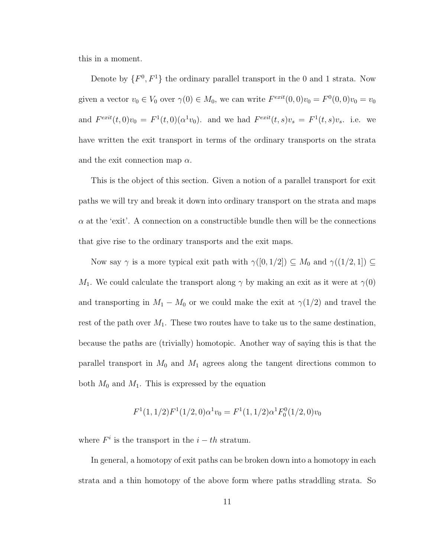this in a moment.

Denote by  $\{F^0, F^1\}$  the ordinary parallel transport in the 0 and 1 strata. Now given a vector  $v_0 \in V_0$  over  $\gamma(0) \in M_0$ , we can write  $F^{exit}(0,0)v_0 = F^0(0,0)v_0 = v_0$ and  $F^{exit}(t,0)v_0 = F^{1}(t,0)(\alpha^{1}v_0)$ . and we had  $F^{exit}(t,s)v_s = F^{1}(t,s)v_s$ . i.e. we have written the exit transport in terms of the ordinary transports on the strata and the exit connection map  $\alpha$ .

This is the object of this section. Given a notion of a parallel transport for exit paths we will try and break it down into ordinary transport on the strata and maps  $\alpha$  at the 'exit'. A connection on a constructible bundle then will be the connections that give rise to the ordinary transports and the exit maps.

Now say  $\gamma$  is a more typical exit path with  $\gamma([0, 1/2]) \subseteq M_0$  and  $\gamma((1/2, 1]) \subseteq$  $M_1$ . We could calculate the transport along  $\gamma$  by making an exit as it were at  $\gamma(0)$ and transporting in  $M_1 - M_0$  or we could make the exit at  $\gamma(1/2)$  and travel the rest of the path over  $M_1$ . These two routes have to take us to the same destination, because the paths are (trivially) homotopic. Another way of saying this is that the parallel transport in  $M_0$  and  $M_1$  agrees along the tangent directions common to both  $M_0$  and  $M_1$ . This is expressed by the equation

$$
F^{1}(1,1/2)F^{1}(1/2,0)\alpha^{1}v_{0} = F^{1}(1,1/2)\alpha^{1}F_{0}^{0}(1/2,0)v_{0}
$$

where  $F^i$  is the transport in the  $i-th$  stratum.

In general, a homotopy of exit paths can be broken down into a homotopy in each strata and a thin homotopy of the above form where paths straddling strata. So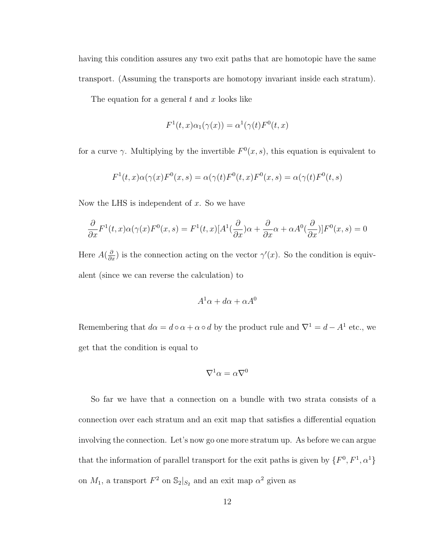having this condition assures any two exit paths that are homotopic have the same transport. (Assuming the transports are homotopy invariant inside each stratum).

The equation for a general  $t$  and  $x$  looks like

$$
F^{1}(t,x)\alpha_{1}(\gamma(x)) = \alpha^{1}(\gamma(t)F^{0}(t,x))
$$

for a curve  $\gamma$ . Multiplying by the invertible  $F^0(x, s)$ , this equation is equivalent to

$$
F^1(t,x)\alpha(\gamma(x)F^0(x,s)) = \alpha(\gamma(t)F^0(t,x)F^0(x,s)) = \alpha(\gamma(t)F^0(t,s))
$$

Now the LHS is independent of  $x$ . So we have

$$
\frac{\partial}{\partial x}F^{1}(t,x)\alpha(\gamma(x)F^{0}(x,s)) = F^{1}(t,x)[A^{1}(\frac{\partial}{\partial x})\alpha + \frac{\partial}{\partial x}\alpha + \alpha A^{0}(\frac{\partial}{\partial x})]F^{0}(x,s) = 0
$$

Here  $A(\frac{\partial}{\partial x})$  is the connection acting on the vector  $\gamma'(x)$ . So the condition is equivalent (since we can reverse the calculation) to

$$
A^1\alpha + d\alpha + \alpha A^0
$$

Remembering that  $d\alpha = d \circ \alpha + \alpha \circ d$  by the product rule and  $\nabla^1 = d - A^1$  etc., we get that the condition is equal to

$$
\nabla^1 \alpha = \alpha \nabla^0
$$

So far we have that a connection on a bundle with two strata consists of a connection over each stratum and an exit map that satisfies a differential equation involving the connection. Let's now go one more stratum up. As before we can argue that the information of parallel transport for the exit paths is given by  $\{F^0, F^1, \alpha^1\}$ on  $M_1$ , a transport  $F^2$  on  $\mathbb{S}_2|_{S_2}$  and an exit map  $\alpha^2$  given as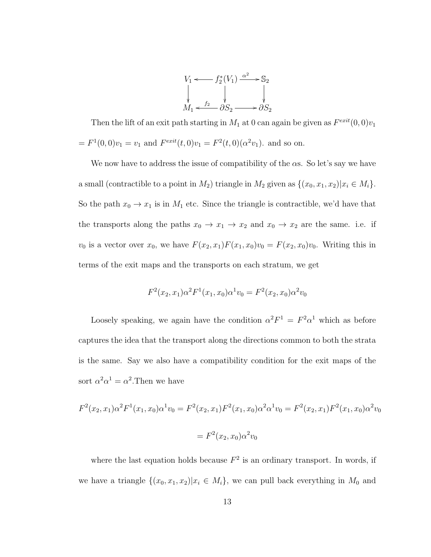

Then the lift of an exit path starting in  $M_1$  at 0 can again be given as  $F^{exit}(0,0)v_1$  $= F^1(0,0)v_1 = v_1$  and  $F^{exit}(t,0)v_1 = F^2(t,0)(\alpha^2 v_1)$ . and so on.

We now have to address the issue of compatibility of the  $\alpha$ s. So let's say we have a small (contractible to a point in  $M_2$ ) triangle in  $M_2$  given as  $\{(x_0, x_1, x_2)|x_i \in M_i\}.$ So the path  $x_0 \to x_1$  is in  $M_1$  etc. Since the triangle is contractible, we'd have that the transports along the paths  $x_0 \to x_1 \to x_2$  and  $x_0 \to x_2$  are the same. i.e. if  $v_0$  is a vector over  $x_0$ , we have  $F(x_2, x_1)F(x_1, x_0)v_0 = F(x_2, x_0)v_0$ . Writing this in terms of the exit maps and the transports on each stratum, we get

$$
F^{2}(x_{2}, x_{1})\alpha^{2}F^{1}(x_{1}, x_{0})\alpha^{1}v_{0} = F^{2}(x_{2}, x_{0})\alpha^{2}v_{0}
$$

Loosely speaking, we again have the condition  $\alpha^2 F^1 = F^2 \alpha^1$  which as before captures the idea that the transport along the directions common to both the strata is the same. Say we also have a compatibility condition for the exit maps of the sort  $\alpha^2 \alpha^1 = \alpha^2$ . Then we have

$$
F^{2}(x_{2}, x_{1})\alpha^{2}F^{1}(x_{1}, x_{0})\alpha^{1}v_{0} = F^{2}(x_{2}, x_{1})F^{2}(x_{1}, x_{0})\alpha^{2}\alpha^{1}v_{0} = F^{2}(x_{2}, x_{1})F^{2}(x_{1}, x_{0})\alpha^{2}v_{0}
$$

$$
= F^{2}(x_{2}, x_{0})\alpha^{2}v_{0}
$$

where the last equation holds because  $F^2$  is an ordinary transport. In words, if we have a triangle  $\{(x_0, x_1, x_2)|x_i \in M_i\}$ , we can pull back everything in  $M_0$  and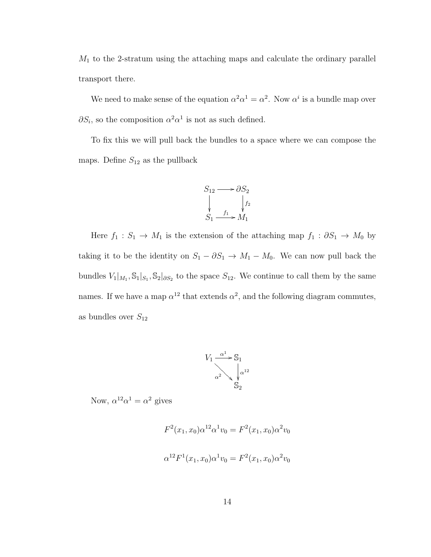$M_1$  to the 2-stratum using the attaching maps and calculate the ordinary parallel transport there.

We need to make sense of the equation  $\alpha^2 \alpha^1 = \alpha^2$ . Now  $\alpha^i$  is a bundle map over  $\partial S_i$ , so the composition  $\alpha^2 \alpha^1$  is not as such defined.

To fix this we will pull back the bundles to a space where we can compose the maps. Define  $S_{12}$  as the pullback



Here  $f_1 : S_1 \to M_1$  is the extension of the attaching map  $f_1 : \partial S_1 \to M_0$  by taking it to be the identity on  $S_1 - \partial S_1 \to M_1 - M_0$ . We can now pull back the bundles  $V_1|_{M_1}, \mathbb{S}_1|_{S_1}, \mathbb{S}_2|_{\partial S_2}$  to the space  $S_{12}$ . We continue to call them by the same names. If we have a map  $\alpha^{12}$  that extends  $\alpha^2$ , and the following diagram commutes, as bundles over  $S_{12}$ 



Now,  $\alpha^{12}\alpha^1 = \alpha^2$  gives

$$
F^{2}(x_{1}, x_{0})\alpha^{12}\alpha^{1}v_{0} = F^{2}(x_{1}, x_{0})\alpha^{2}v_{0}
$$

$$
\alpha^{12}F^{1}(x_{1}, x_{0})\alpha^{1}v_{0} = F^{2}(x_{1}, x_{0})\alpha^{2}v_{0}
$$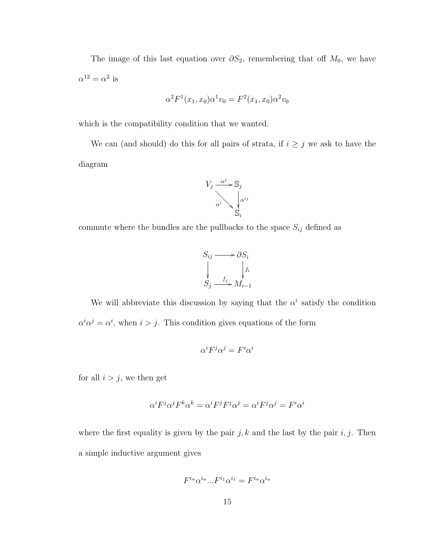The image of this last equation over  $\partial S_2$ , remembering that off  $M_0$ , we have  $\alpha^{12} = \alpha^2$  is

$$
\alpha^2 F^1(x_1, x_0) \alpha^1 v_0 = F^2(x_1, x_0) \alpha^2 v_0
$$

which is the compatibility condition that we wanted.

We can (and should) do this for all pairs of strata, if  $i \geq j$  we ask to have the diagram



commute where the bundles are the pullbacks to the space  $S_{ij}$  defined as



We will abbreviate this discussion by saying that the  $\alpha^i$  satisfy the condition  $\alpha^i \alpha^j = \alpha^i$ , when  $i > j$ . This condition gives equations of the form

$$
\alpha^i F^j \alpha^j = F^i \alpha^i
$$

for all  $i > j$ , we then get

$$
\alpha^i F^j \alpha^j F^k \alpha^k = \alpha^i F^j F^j \alpha^j = \alpha^i F^j \alpha^j = F^i \alpha^i
$$

where the first equality is given by the pair j, k and the last by the pair  $i, j$ . Then a simple inductive argument gives

$$
F^{i_n} \alpha^{i_n} \dots F^{i_1} \alpha^{i_1} = F^{i_n} \alpha^{i_n}
$$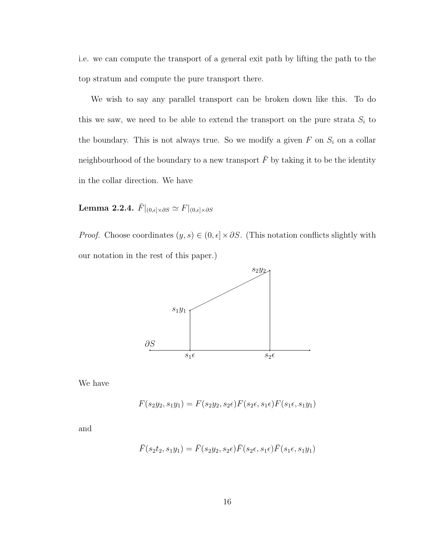i.e. we can compute the transport of a general exit path by lifting the path to the top stratum and compute the pure transport there.

We wish to say any parallel transport can be broken down like this. To do this we saw, we need to be able to extend the transport on the pure strata  $S_i$  to the boundary. This is not always true. So we modify a given  $F$  on  $S_i$  on a collar neighbourhood of the boundary to a new transport  $\bar{F}$  by taking it to be the identity in the collar direction. We have

Lemma 2.2.4.  $\bar{F}|_{(0,\epsilon]\times\partial S} \simeq F|_{(0,\epsilon]\times\partial S}$ 

*Proof.* Choose coordinates  $(y, s) \in (0, \epsilon] \times \partial S$ . (This notation conflicts slightly with our notation in the rest of this paper.)



We have

$$
F(s_2y_2, s_1y_1) = F(s_2y_2, s_2\epsilon)F(s_2\epsilon, s_1\epsilon)F(s_1\epsilon, s_1y_1)
$$

and

$$
\bar{F}(s_2t_2, s_1y_1) = \bar{F}(s_2y_2, s_2\epsilon)\bar{F}(s_2\epsilon, s_1\epsilon)\bar{F}(s_1\epsilon, s_1y_1)
$$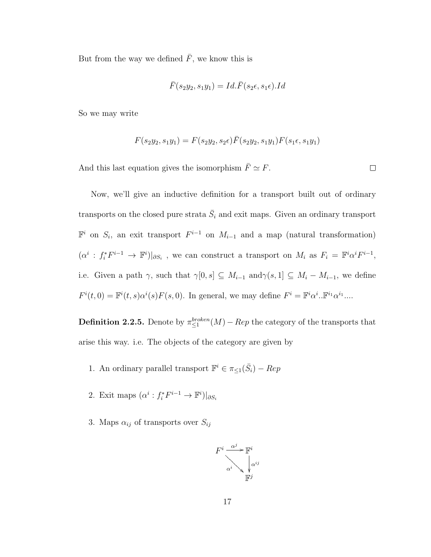But from the way we defined  $\bar{F},$  we know this is

$$
\bar{F}(s_2y_2, s_1y_1) = Id. \bar{F}(s_2\epsilon, s_1\epsilon).Id
$$

So we may write

$$
F(s_2y_2, s_1y_1) = F(s_2y_2, s_2\epsilon)\bar{F}(s_2y_2, s_1y_1)F(s_1\epsilon, s_1y_1)
$$

 $\Box$ 

And this last equation gives the isomorphism  $\bar{F} \simeq F$ .

Now, we'll give an inductive definition for a transport built out of ordinary transports on the closed pure strata  $\bar{S}_i$  and exit maps. Given an ordinary transport  $\mathbb{F}^i$  on  $S_i$ , an exit transport  $F^{i-1}$  on  $M_{i-1}$  and a map (natural transformation)  $(\alpha^i : f_i^*F^{i-1} \to \mathbb{F}^i)|_{\partial S_i}$ , we can construct a transport on  $M_i$  as  $F_i = \mathbb{F}^i \alpha^i F^{i-1}$ , i.e. Given a path  $\gamma$ , such that  $\gamma[0, s] \subseteq M_{i-1}$  and  $\gamma(s, 1] \subseteq M_i - M_{i-1}$ , we define  $F^{i}(t,0) = \mathbb{F}^{i}(t,s)\alpha^{i}(s)F(s,0)$ . In general, we may define  $F^{i} = \mathbb{F}^{i}\alpha^{i} \cdot \mathbb{F}^{i}^{i} \alpha^{i} \cdots$ 

**Definition 2.2.5.** Denote by  $\pi_{\leq 1}^{broken}(M) - Rep$  the category of the transports that arise this way. i.e. The objects of the category are given by

- 1. An ordinary parallel transport  $\mathbb{F}^i \in \pi_{\leq 1}(\bar{S}_i) Rep$
- 2. Exit maps  $(\alpha^i : f_i^* F^{i-1} \to \mathbb{F}^i)|_{\partial S_i}$
- 3. Maps  $\alpha_{ij}$  of transports over  $S_{ij}$

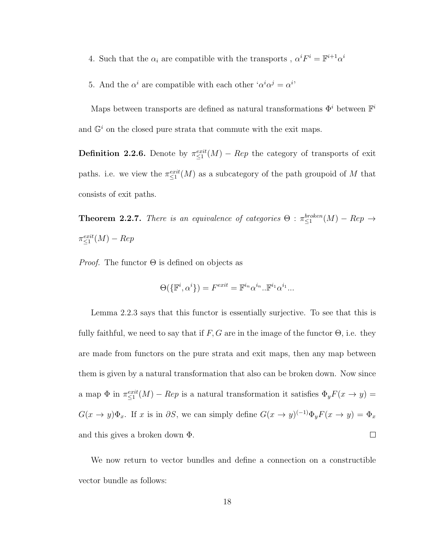- 4. Such that the  $\alpha_i$  are compatible with the transports ,  $\alpha^i F^i = \mathbb{F}^{i+1} \alpha^i$
- 5. And the  $\alpha^i$  are compatible with each other ' $\alpha^i \alpha^j = \alpha^{i'}$ '

Maps between transports are defined as natural transformations  $\Phi^i$  between  $\mathbb{F}^i$ and  $\mathbb{G}^i$  on the closed pure strata that commute with the exit maps.

**Definition 2.2.6.** Denote by  $\pi_{\leq 1}^{exit}(M) - Rep$  the category of transports of exit paths. i.e. we view the  $\pi_{\leq 1}^{exit}(M)$  as a subcategory of the path groupoid of M that consists of exit paths.

**Theorem 2.2.7.** There is an equivalence of categories  $\Theta$  :  $\pi_{\leq 1}^{broken}(M) - Rep \rightarrow$  $\pi_{\leq 1}^{exit}(M) - Rep$ 

*Proof.* The functor  $\Theta$  is defined on objects as

$$
\Theta(\{\mathbb{F}^i, \alpha^i\}) = F^{exit} = \mathbb{F}^{i_n} \alpha^{i_n} \cdot \mathbb{F}^{i_1} \alpha^{i_1} \cdot \dots
$$

Lemma 2.2.3 says that this functor is essentially surjective. To see that this is fully faithful, we need to say that if  $F, G$  are in the image of the functor  $\Theta$ , i.e. they are made from functors on the pure strata and exit maps, then any map between them is given by a natural transformation that also can be broken down. Now since a map  $\Phi$  in  $\pi \leq i^{exit}(M) - Rep$  is a natural transformation it satisfies  $\Phi_y F(x \to y) =$  $G(x \to y)\Phi_x$ . If x is in  $\partial S$ , we can simply define  $G(x \to y)^{(-1)}\Phi_y F(x \to y) = \Phi_x$ and this gives a broken down Φ.  $\Box$ 

We now return to vector bundles and define a connection on a constructible vector bundle as follows: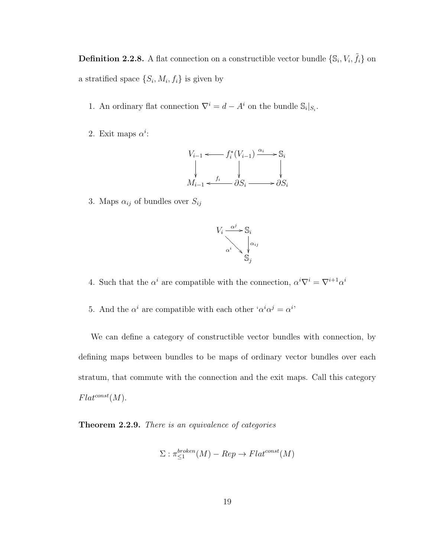**Definition 2.2.8.** A flat connection on a constructible vector bundle  $\{\mathbb{S}_i, V_i, \tilde{f}_i\}$  on a stratified space  $\{S_i, M_i, f_i\}$  is given by

- 1. An ordinary flat connection  $\nabla^i = d A^i$  on the bundle  $\mathbb{S}_i|_{S_i}$ .
- 2. Exit maps  $\alpha^i$ :

$$
V_{i-1} \longleftarrow f_i^*(V_{i-1}) \xrightarrow{\alpha_i} \mathbb{S}_i
$$
  
\n
$$
\downarrow \qquad \qquad \downarrow
$$
  
\n
$$
M_{i-1} \longleftarrow f_i \xrightarrow{\beta_i} \partial S_i \longrightarrow \partial S_i
$$

3. Maps  $\alpha_{ij}$  of bundles over  $S_{ij}$ 



4. Such that the  $\alpha^i$  are compatible with the connection,  $\alpha^i \nabla^i = \nabla^{i+1} \alpha^i$ 

5. And the  $\alpha^i$  are compatible with each other ' $\alpha^i \alpha^j = \alpha^{i}$ '

We can define a category of constructible vector bundles with connection, by defining maps between bundles to be maps of ordinary vector bundles over each stratum, that commute with the connection and the exit maps. Call this category  $Flat^{const}(M)$ .

Theorem 2.2.9. There is an equivalence of categories

$$
\Sigma : \pi_{\leq 1}^{broken}(M) - Rep \to Flat^{const}(M)
$$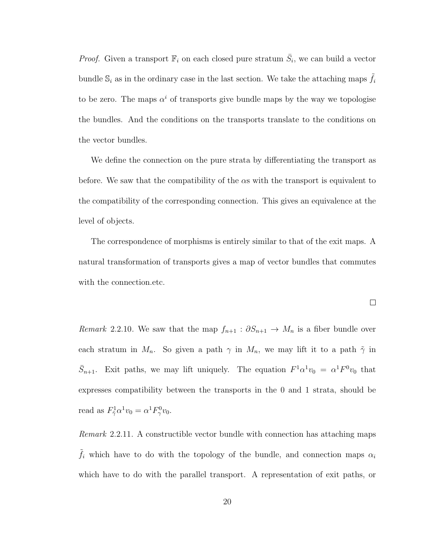*Proof.* Given a transport  $\mathbb{F}_i$  on each closed pure stratum  $\overline{S}_i$ , we can build a vector bundle  $\mathbb{S}_i$  as in the ordinary case in the last section. We take the attaching maps  $\tilde{f}_i$ to be zero. The maps  $\alpha^{i}$  of transports give bundle maps by the way we topologise the bundles. And the conditions on the transports translate to the conditions on the vector bundles.

We define the connection on the pure strata by differentiating the transport as before. We saw that the compatibility of the  $\alpha s$  with the transport is equivalent to the compatibility of the corresponding connection. This gives an equivalence at the level of objects.

The correspondence of morphisms is entirely similar to that of the exit maps. A natural transformation of transports gives a map of vector bundles that commutes with the connection.etc.

 $\Box$ 

Remark 2.2.10. We saw that the map  $f_{n+1} : \partial S_{n+1} \to M_n$  is a fiber bundle over each stratum in  $M_n$ . So given a path  $\gamma$  in  $M_n$ , we may lift it to a path  $\tilde{\gamma}$  in  $\bar{S}_{n+1}$ . Exit paths, we may lift uniquely. The equation  $F^1\alpha^1v_0 = \alpha^1F^0v_0$  that expresses compatibility between the transports in the 0 and 1 strata, should be read as  $F_{\tilde{\gamma}}^1 \alpha^1 v_0 = \alpha^1 F_{\gamma}^0 v_0.$ 

Remark 2.2.11. A constructible vector bundle with connection has attaching maps  $\hat{f}_i$  which have to do with the topology of the bundle, and connection maps  $\alpha_i$ which have to do with the parallel transport. A representation of exit paths, or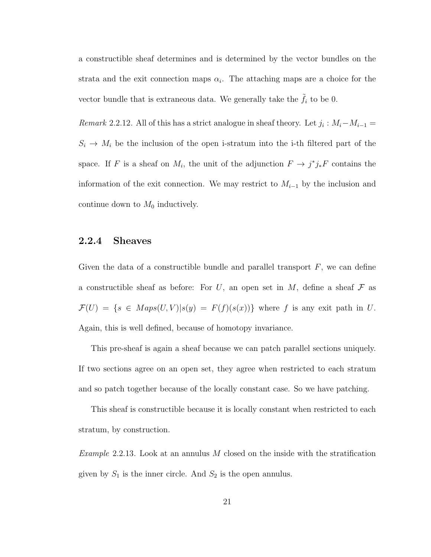a constructible sheaf determines and is determined by the vector bundles on the strata and the exit connection maps  $\alpha_i$ . The attaching maps are a choice for the vector bundle that is extraneous data. We generally take the  $\tilde{f}_i$  to be 0.

Remark 2.2.12. All of this has a strict analogue in sheaf theory. Let  $j_i : M_i - M_{i-1} =$  $S_i \to M_i$  be the inclusion of the open i-stratum into the i-th filtered part of the space. If F is a sheaf on  $M_i$ , the unit of the adjunction  $F \to j^*j_*F$  contains the information of the exit connection. We may restrict to  $M_{i-1}$  by the inclusion and continue down to  $M_0$  inductively.

### <span id="page-27-0"></span>2.2.4 Sheaves

Given the data of a constructible bundle and parallel transport  $F$ , we can define a constructible sheaf as before: For U, an open set in M, define a sheaf  $\mathcal F$  as  $\mathcal{F}(U) = \{s \in Maps(U, V)|s(y) = F(f)(s(x))\}$  where f is any exit path in U. Again, this is well defined, because of homotopy invariance.

This pre-sheaf is again a sheaf because we can patch parallel sections uniquely. If two sections agree on an open set, they agree when restricted to each stratum and so patch together because of the locally constant case. So we have patching.

This sheaf is constructible because it is locally constant when restricted to each stratum, by construction.

Example 2.2.13. Look at an annulus M closed on the inside with the stratification given by  $S_1$  is the inner circle. And  $S_2$  is the open annulus.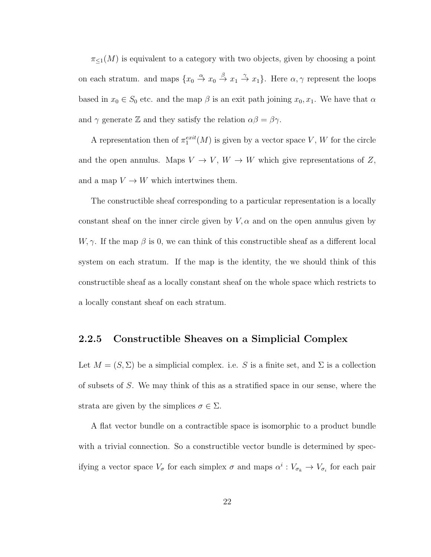$\pi_{\leq 1}(M)$  is equivalent to a category with two objects, given by choosing a point on each stratum, and maps  $\{x_0 \stackrel{\alpha}{\to} x_0 \stackrel{\beta}{\to} x_1 \stackrel{\gamma}{\to} x_1\}$ . Here  $\alpha, \gamma$  represent the loops based in  $x_0 \in S_0$  etc. and the map  $\beta$  is an exit path joining  $x_0, x_1$ . We have that  $\alpha$ and  $\gamma$  generate Z and they satisfy the relation  $\alpha\beta = \beta\gamma$ .

A representation then of  $\pi_1^{exit}(M)$  is given by a vector space V, W for the circle and the open annulus. Maps  $V \to V$ ,  $W \to W$  which give representations of Z, and a map  $V\to W$  which intertwines them.

The constructible sheaf corresponding to a particular representation is a locally constant sheaf on the inner circle given by  $V, \alpha$  and on the open annulus given by  $W, \gamma$ . If the map  $\beta$  is 0, we can think of this constructible sheaf as a different local system on each stratum. If the map is the identity, the we should think of this constructible sheaf as a locally constant sheaf on the whole space which restricts to a locally constant sheaf on each stratum.

### <span id="page-28-0"></span>2.2.5 Constructible Sheaves on a Simplicial Complex

Let  $M = (S, \Sigma)$  be a simplicial complex. i.e. S is a finite set, and  $\Sigma$  is a collection of subsets of S. We may think of this as a stratified space in our sense, where the strata are given by the simplices  $\sigma \in \Sigma$ .

A flat vector bundle on a contractible space is isomorphic to a product bundle with a trivial connection. So a constructible vector bundle is determined by specifying a vector space  $V_{\sigma}$  for each simplex  $\sigma$  and maps  $\alpha^i: V_{\sigma_k} \to V_{\sigma_i}$  for each pair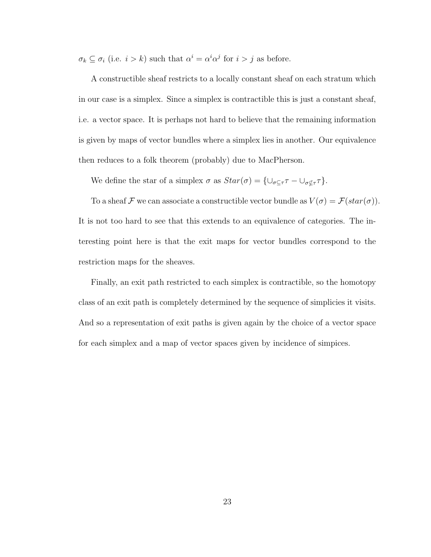$\sigma_k \subseteq \sigma_i$  (i.e.  $i > k$ ) such that  $\alpha^i = \alpha^i \alpha^j$  for  $i > j$  as before.

A constructible sheaf restricts to a locally constant sheaf on each stratum which in our case is a simplex. Since a simplex is contractible this is just a constant sheaf, i.e. a vector space. It is perhaps not hard to believe that the remaining information is given by maps of vector bundles where a simplex lies in another. Our equivalence then reduces to a folk theorem (probably) due to MacPherson.

We define the star of a simplex  $\sigma$  as  $Star(\sigma) = \{\cup_{\sigma \subseteq \tau} \tau - \cup_{\sigma \notin \tau} \tau\}.$ 

To a sheaf  $\mathcal F$  we can associate a constructible vector bundle as  $V(\sigma)=\mathcal F(\mathit{star}(\sigma)).$ It is not too hard to see that this extends to an equivalence of categories. The interesting point here is that the exit maps for vector bundles correspond to the restriction maps for the sheaves.

Finally, an exit path restricted to each simplex is contractible, so the homotopy class of an exit path is completely determined by the sequence of simplicies it visits. And so a representation of exit paths is given again by the choice of a vector space for each simplex and a map of vector spaces given by incidence of simpices.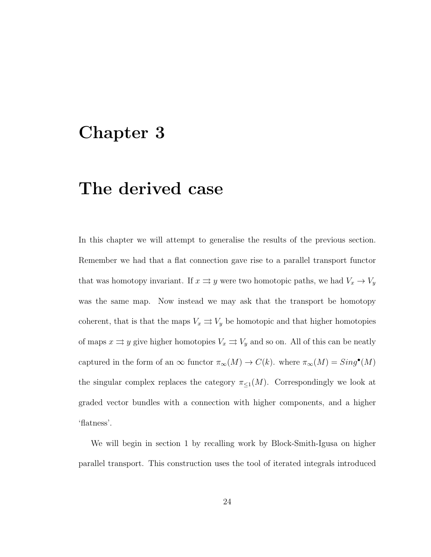# <span id="page-30-0"></span>Chapter 3

# The derived case

In this chapter we will attempt to generalise the results of the previous section. Remember we had that a flat connection gave rise to a parallel transport functor that was homotopy invariant. If  $x \Rightarrow y$  were two homotopic paths, we had  $V_x \rightarrow V_y$ was the same map. Now instead we may ask that the transport be homotopy coherent, that is that the maps  $V_x \rightrightarrows V_y$  be homotopic and that higher homotopies of maps  $x \rightrightarrows y$  give higher homotopies  $V_x \rightrightarrows V_y$  and so on. All of this can be neatly captured in the form of an  $\infty$  functor  $\pi_{\infty}(M) \to C(k)$ . where  $\pi_{\infty}(M) = Sing^{\bullet}(M)$ the singular complex replaces the category  $\pi_{\leq 1}(M)$ . Correspondingly we look at graded vector bundles with a connection with higher components, and a higher 'flatness'.

We will begin in section 1 by recalling work by Block-Smith-Igusa on higher parallel transport. This construction uses the tool of iterated integrals introduced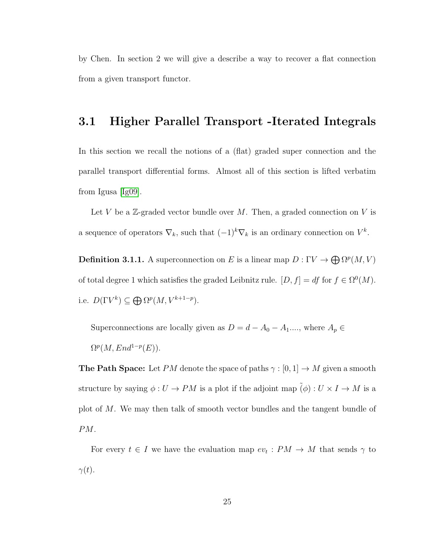by Chen. In section 2 we will give a describe a way to recover a flat connection from a given transport functor.

## <span id="page-31-0"></span>3.1 Higher Parallel Transport -Iterated Integrals

In this section we recall the notions of a (flat) graded super connection and the parallel transport differential forms. Almost all of this section is lifted verbatim from Igusa [\[Ig09\]](#page-68-0).

Let V be a  $\mathbb{Z}$ -graded vector bundle over M. Then, a graded connection on V is a sequence of operators  $\nabla_k$ , such that  $(-1)^k \nabla_k$  is an ordinary connection on  $V^k$ .

**Definition 3.1.1.** A superconnection on E is a linear map  $D: \Gamma V \to \bigoplus \Omega^p(M, V)$ of total degree 1 which satisfies the graded Leibnitz rule.  $[D, f] = df$  for  $f \in \Omega^0(M)$ . i.e.  $D(\Gamma V^k) \subseteq \bigoplus \Omega^p(M, V^{k+1-p}).$ 

Superconnections are locally given as  $D=d-A_0-A_1....,$  where  $A_p\in$  $\Omega^p(M,End^{1-p}(E)).$ 

**The Path Space:** Let PM denote the space of paths  $\gamma : [0, 1] \to M$  given a smooth structure by saying  $\phi:U\to PM$  is a plot if the adjoint map  $\tilde(\phi):U\times I\to M$  is a plot of M. We may then talk of smooth vector bundles and the tangent bundle of PM.

For every  $t \in I$  we have the evaluation map  $ev_t : PM \to M$  that sends  $\gamma$  to  $\gamma(t)$ .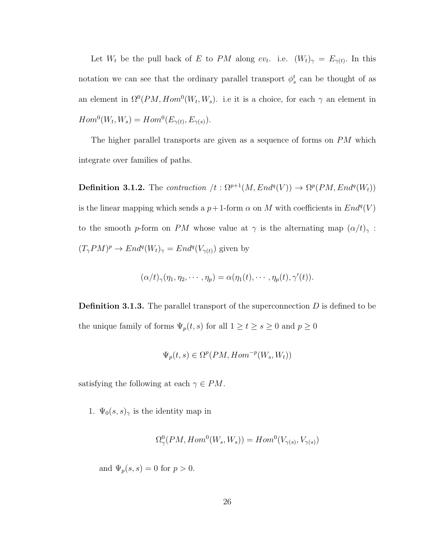Let  $W_t$  be the pull back of E to PM along  $ev_t$ . i.e.  $(W_t)_{\gamma} = E_{\gamma(t)}$ . In this notation we can see that the ordinary parallel transport  $\phi_s^t$  can be thought of as an element in  $\Omega^0(PM, Hom^0(W_t, W_s)$ . i.e it is a choice, for each  $\gamma$  an element in  $Hom<sup>0</sup>(W<sub>t</sub>, W<sub>s</sub>) = Hom<sup>0</sup>(E<sub>\gamma(t)</sub>, E<sub>\gamma(s)</sub>).$ 

The higher parallel transports are given as a sequence of forms on PM which integrate over families of paths.

**Definition 3.1.2.** The contraction  $/t : \Omega^{p+1}(M, End^q(V)) \to \Omega^p(PM, End^q(W_t))$ is the linear mapping which sends a  $p+1$ -form  $\alpha$  on M with coefficients in  $End<sup>q</sup>(V)$ to the smooth p-form on PM whose value at  $\gamma$  is the alternating map  $(\alpha/t)_{\gamma}$ :  $(T_{\gamma}PM)^p \to End^q(W_t)_{\gamma} = End^q(V_{\gamma(t)})$  given by

$$
(\alpha/t)_\gamma(\eta_1, \eta_2, \cdots, \eta_p) = \alpha(\eta_1(t), \cdots, \eta_p(t), \gamma'(t)).
$$

**Definition 3.1.3.** The parallel transport of the superconnection  $D$  is defined to be the unique family of forms  $\Psi_p(t, s)$  for all  $1 \ge t \ge s \ge 0$  and  $p \ge 0$ 

$$
\Psi_p(t,s) \in \Omega^p(PM, Hom^{-p}(W_s, W_t))
$$

satisfying the following at each  $\gamma \in PM$ .

1.  $\Psi_0(s, s)_{\gamma}$  is the identity map in

$$
\Omega^0_\gamma(PM, Hom^0(W_s, W_s)) = Hom^0(V_{\gamma(s)}, V_{\gamma(s)})
$$

and  $\Psi_p(s, s) = 0$  for  $p > 0$ .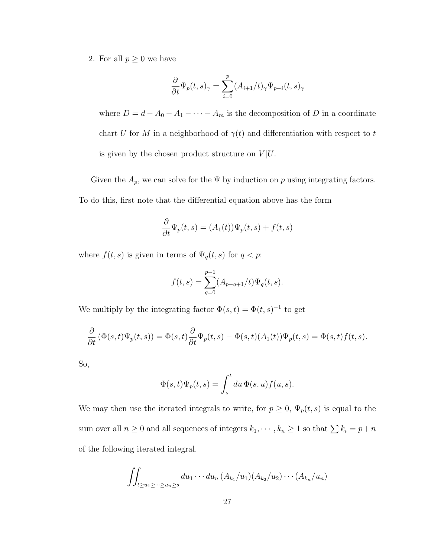2. For all  $p\geq 0$  we have

$$
\frac{\partial}{\partial t} \Psi_p(t,s)_{\gamma} = \sum_{i=0}^p (A_{i+1}/t)_{\gamma} \Psi_{p-i}(t,s)_{\gamma}
$$

where  $D = d - A_0 - A_1 - \cdots - A_m$  is the decomposition of D in a coordinate chart U for M in a neighborhood of  $\gamma(t)$  and differentiation with respect to t is given by the chosen product structure on  $V | U$ .

Given the  $A_p$ , we can solve for the  $\Psi$  by induction on p using integrating factors. To do this, first note that the differential equation above has the form

$$
\frac{\partial}{\partial t}\Psi_p(t,s) = (A_1(t))\Psi_p(t,s) + f(t,s)
$$

where  $f(t, s)$  is given in terms of  $\Psi_q(t, s)$  for  $q < p$ :

$$
f(t,s) = \sum_{q=0}^{p-1} (A_{p-q+1}/t) \Psi_q(t,s).
$$

We multiply by the integrating factor  $\Phi(s,t) = \Phi(t,s)^{-1}$  to get

$$
\frac{\partial}{\partial t}\left(\Phi(s,t)\Psi_p(t,s)\right)=\Phi(s,t)\frac{\partial}{\partial t}\Psi_p(t,s)-\Phi(s,t)(A_1(t))\Psi_p(t,s)=\Phi(s,t)f(t,s).
$$

So,

$$
\Phi(s,t)\Psi_p(t,s) = \int_s^t du \,\Phi(s,u)f(u,s).
$$

We may then use the iterated integrals to write, for  $p \geq 0$ ,  $\Psi_p(t, s)$  is equal to the sum over all  $n \geq 0$  and all sequences of integers  $k_1, \dots, k_n \geq 1$  so that  $\sum k_i = p+n$ of the following iterated integral.

$$
\iint_{t\geq u_1\geq \cdots \geq u_n\geq s} du_1\cdots du_n(A_{k_1}/u_1)(A_{k_2}/u_2)\cdots (A_{k_n}/u_n)
$$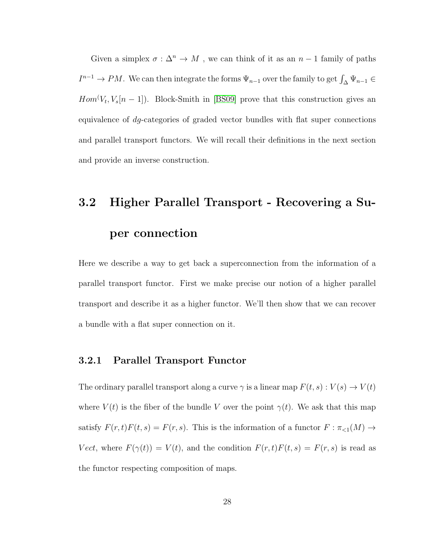Given a simplex  $\sigma : \Delta^n \to M$  , we can think of it as an  $n-1$  family of paths  $I^{n-1} \to PM$ . We can then integrate the forms  $\Psi_{n-1}$  over the family to get  $\int_{\Delta} \Psi_{n-1} \in$  $Hom(V_t, V_s[n-1])$ . Block-Smith in [\[BS09\]](#page-67-0) prove that this construction gives an equivalence of dg-categories of graded vector bundles with flat super connections and parallel transport functors. We will recall their definitions in the next section and provide an inverse construction.

# <span id="page-34-0"></span>3.2 Higher Parallel Transport - Recovering a Su-

## per connection

Here we describe a way to get back a superconnection from the information of a parallel transport functor. First we make precise our notion of a higher parallel transport and describe it as a higher functor. We'll then show that we can recover a bundle with a flat super connection on it.

### <span id="page-34-1"></span>3.2.1 Parallel Transport Functor

The ordinary parallel transport along a curve  $\gamma$  is a linear map  $F(t,s): V(s) \rightarrow V(t)$ where  $V(t)$  is the fiber of the bundle V over the point  $\gamma(t)$ . We ask that this map satisfy  $F(r, t)F(t, s) = F(r, s)$ . This is the information of a functor  $F : \pi_{\leq 1}(M) \to$ Vect, where  $F(\gamma(t)) = V(t)$ , and the condition  $F(r, t)F(t, s) = F(r, s)$  is read as the functor respecting composition of maps.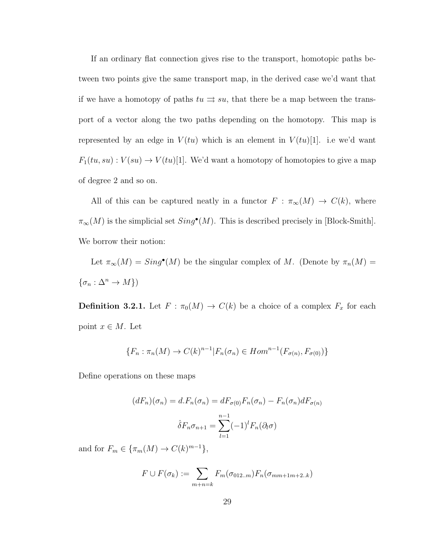If an ordinary flat connection gives rise to the transport, homotopic paths between two points give the same transport map, in the derived case we'd want that if we have a homotopy of paths  $tu \rightrightarrows su$ , that there be a map between the transport of a vector along the two paths depending on the homotopy. This map is represented by an edge in  $V(tu)$  which is an element in  $V(tu)[1]$ . i.e we'd want  $F_1(tu,su): V(su) \to V(tu)[1].$  We'd want a homotopy of homotopies to give a map of degree 2 and so on.

All of this can be captured neatly in a functor  $F : \pi_{\infty}(M) \to C(k)$ , where  $\pi_{\infty}(M)$  is the simplicial set  $Sing^{\bullet}(M)$ . This is described precisely in [Block-Smith]. We borrow their notion:

Let  $\pi_{\infty}(M) = Sing^{\bullet}(M)$  be the singular complex of M. (Denote by  $\pi_n(M) =$  $\{\sigma_n:\Delta^n\to M\})$ 

**Definition 3.2.1.** Let  $F : \pi_0(M) \to C(k)$  be a choice of a complex  $F_x$  for each point  $x \in M$ . Let

$$
\{F_n : \pi_n(M) \to C(k)^{n-1} | F_n(\sigma_n) \in Hom^{n-1}(F_{\sigma(n)}, F_{\sigma(0)})\}
$$

Define operations on these maps

$$
(dF_n)(\sigma_n) = d.F_n(\sigma_n) = dF_{\sigma(0)}F_n(\sigma_n) - F_n(\sigma_n)dF_{\sigma(n)}
$$

$$
\hat{\delta}F_n\sigma_{n+1} = \sum_{l=1}^{n-1} (-1)^l F_n(\partial_l \sigma)
$$

and for  $F_m \in {\lbrace \pi_m(M) \rightarrow C(k)^{m-1} \rbrace}$ ,

$$
F \cup F(\sigma_k) := \sum_{m+n=k} F_m(\sigma_{012..m}) F_n(\sigma_{mm+1m+2..k})
$$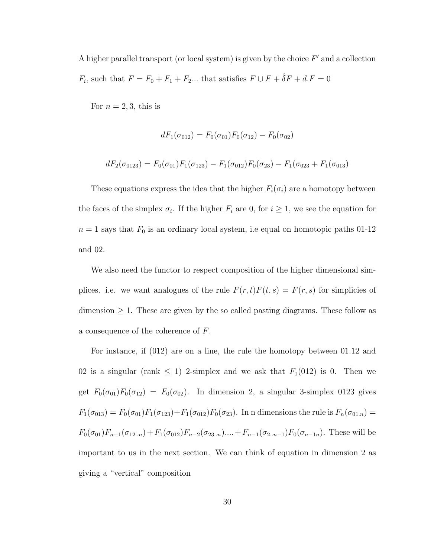A higher parallel transport (or local system) is given by the choice  $F'$  and a collection  $F_i$ , such that  $F = F_0 + F_1 + F_2...$  that satisfies  $F \cup F + \hat{\delta}F + d.F = 0$ 

For  $n = 2, 3$ , this is

$$
dF_1(\sigma_{012}) = F_0(\sigma_{01})F_0(\sigma_{12}) - F_0(\sigma_{02})
$$

$$
dF_2(\sigma_{0123}) = F_0(\sigma_{01})F_1(\sigma_{123}) - F_1(\sigma_{012})F_0(\sigma_{23}) - F_1(\sigma_{023} + F_1(\sigma_{013})
$$

These equations express the idea that the higher  $F_i(\sigma_i)$  are a homotopy between the faces of the simplex  $\sigma_i$ . If the higher  $F_i$  are 0, for  $i \geq 1$ , we see the equation for  $n = 1$  says that  $F_0$  is an ordinary local system, i.e equal on homotopic paths 01-12 and 02.

We also need the functor to respect composition of the higher dimensional simplices. i.e. we want analogues of the rule  $F(r, t)F(t, s) = F(r, s)$  for simplicies of dimension  $\geq 1$ . These are given by the so called pasting diagrams. These follow as a consequence of the coherence of F.

For instance, if (012) are on a line, the rule the homotopy between 01.12 and 02 is a singular (rank  $\leq$  1) 2-simplex and we ask that  $F_1(012)$  is 0. Then we get  $F_0(\sigma_{01})F_0(\sigma_{12}) = F_0(\sigma_{02})$ . In dimension 2, a singular 3-simplex 0123 gives  $F_1(\sigma_{013}) = F_0(\sigma_{01})F_1(\sigma_{123}) + F_1(\sigma_{012})F_0(\sigma_{23})$ . In n dimensions the rule is  $F_n(\sigma_{01n}) =$  $F_0(\sigma_{01})F_{n-1}(\sigma_{12..n})+F_1(\sigma_{012})F_{n-2}(\sigma_{23..n})....+F_{n-1}(\sigma_{2..n-1})F_0(\sigma_{n-1n}).$  These will be important to us in the next section. We can think of equation in dimension 2 as giving a "vertical" composition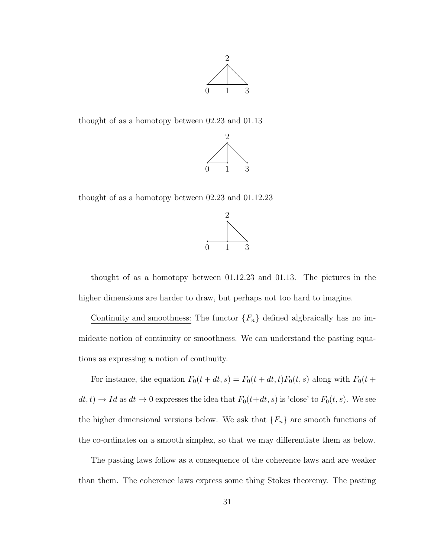

thought of as a homotopy between 02.23 and 01.13



thought of as a homotopy between 02.23 and 01.12.23



thought of as a homotopy between 01.12.23 and 01.13. The pictures in the higher dimensions are harder to draw, but perhaps not too hard to imagine.

Continuity and smoothness: The functor  ${F_n}$  defined algbraically has no immideate notion of continuity or smoothness. We can understand the pasting equations as expressing a notion of continuity.

For instance, the equation  $F_0(t + dt, s) = F_0(t + dt, t)F_0(t, s)$  along with  $F_0(t + dt, t)$  $dt, t) \rightarrow Id$  as  $dt \rightarrow 0$  expresses the idea that  $F_0(t+dt, s)$  is 'close' to  $F_0(t, s)$ . We see the higher dimensional versions below. We ask that  $\{F_n\}$  are smooth functions of the co-ordinates on a smooth simplex, so that we may differentiate them as below.

The pasting laws follow as a consequence of the coherence laws and are weaker than them. The coherence laws express some thing Stokes theoremy. The pasting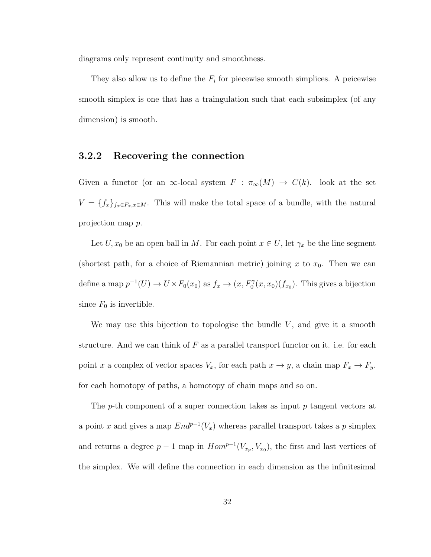diagrams only represent continuity and smoothness.

They also allow us to define the  $F_i$  for piecewise smooth simplices. A peicewise smooth simplex is one that has a traingulation such that each subsimplex (of any dimension) is smooth.

### <span id="page-38-0"></span>3.2.2 Recovering the connection

Given a functor (or an  $\infty$ -local system  $F : \pi_{\infty}(M) \to C(k)$ . look at the set  $V = \{f_x\}_{f_x \in F_x, x \in M}$ . This will make the total space of a bundle, with the natural projection map p.

Let  $U, x_0$  be an open ball in M. For each point  $x \in U$ , let  $\gamma_x$  be the line segment (shortest path, for a choice of Riemannian metric) joining x to  $x_0$ . Then we can define a map  $p^{-1}(U) \to U \times F_0(x_0)$  as  $f_x \to (x, F_0^{\gamma}(x, x_0)(f_{x_0})$ . This gives a bijection since  $F_0$  is invertible.

We may use this bijection to topologise the bundle  $V$ , and give it a smooth structure. And we can think of  $F$  as a parallel transport functor on it. i.e. for each point x a complex of vector spaces  $V_x$ , for each path  $x \to y$ , a chain map  $F_x \to F_y$ . for each homotopy of paths, a homotopy of chain maps and so on.

The  $p$ -th component of a super connection takes as input  $p$  tangent vectors at a point x and gives a map  $End^{p-1}(V_x)$  whereas parallel transport takes a p simplex and returns a degree  $p-1$  map in  $Hom^{p-1}(V_{x_p}, V_{x_0})$ , the first and last vertices of the simplex. We will define the connection in each dimension as the infinitesimal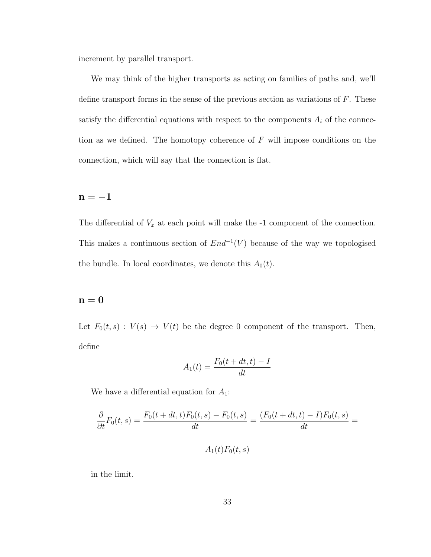increment by parallel transport.

We may think of the higher transports as acting on families of paths and, we'll define transport forms in the sense of the previous section as variations of F. These satisfy the differential equations with respect to the components  $A_i$  of the connection as we defined. The homotopy coherence of  $F$  will impose conditions on the connection, which will say that the connection is flat.

### $\mathbf{n}=-1$

The differential of  $V_x$  at each point will make the  $-1$  component of the connection. This makes a continuous section of  $End^{-1}(V)$  because of the way we topologised the bundle. In local coordinates, we denote this  $A_0(t)$ .

### $n = 0$

Let  $F_0(t, s) : V(s) \to V(t)$  be the degree 0 component of the transport. Then, define

$$
A_1(t) = \frac{F_0(t + dt, t) - I}{dt}
$$

We have a differential equation for  $A_1$ :

$$
\frac{\partial}{\partial t}F_0(t,s) = \frac{F_0(t+dt,t)F_0(t,s) - F_0(t,s)}{dt} = \frac{(F_0(t+dt,t) - I)F_0(t,s)}{dt} =
$$

$$
A_1(t)F_0(t,s)
$$

in the limit.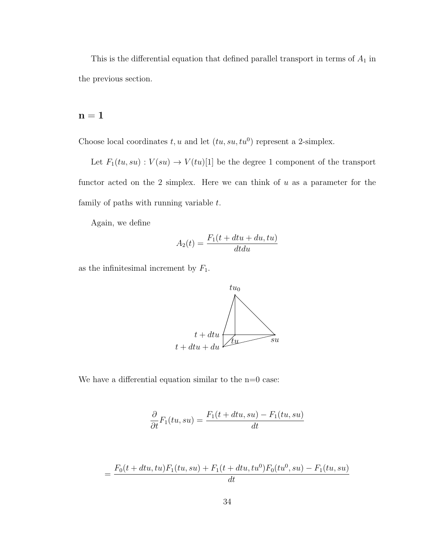This is the differential equation that defined parallel transport in terms of  $A_1$  in the previous section.

### $\mathbf{n}=\mathbf{1}$

Choose local coordinates  $t, u$  and let  $(tu, su, tu^0)$  represent a 2-simplex.

Let  $F_1(tu,su): V(su) \to V(tu)[1]$  be the degree 1 component of the transport functor acted on the 2 simplex. Here we can think of  $u$  as a parameter for the family of paths with running variable  $t$ .

Again, we define

$$
A_2(t) = \frac{F_1(t + dtu + du, tu)}{dtdu}
$$

as the infinitesimal increment by  $F_1$ .



We have a differential equation similar to the  $n=0$  case:

$$
\frac{\partial}{\partial t}F_1(tu, su) = \frac{F_1(t + dtu, su) - F_1(tu, su)}{dt}
$$

$$
= \frac{F_0(t + dt u, tu)F_1(t u, su) + F_1(t + dt u, tu^0)F_0(t u^0, su) - F_1(t u, su)}{dt}
$$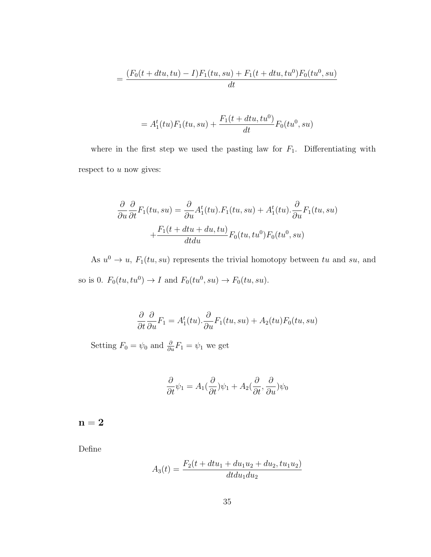$$
= \frac{(F_0(t + dt u, tu) - I)F_1(t u, su) + F_1(t + dt u, tu^0)F_0(t u^0, su)}{dt}
$$

$$
= A_1^t(tu)F_1(tu, su) + \frac{F_1(t + dtu, tu^0)}{dt}F_0(tu^0, su)
$$

where in the first step we used the pasting law for  $F_1$ . Differentiating with respect to  $u$  now gives:

$$
\frac{\partial}{\partial u}\frac{\partial}{\partial t}F_1(tu, su) = \frac{\partial}{\partial u}A_1^t(tu).F_1(tu, su) + A_1^t(tu).\frac{\partial}{\partial u}F_1(tu, su)
$$

$$
+ \frac{F_1(t + dtu + du, tu)}{dtdu}F_0(tu, tu^0)F_0(tu^0, su)
$$

As  $u^0 \to u$ ,  $F_1(tu, su)$  represents the trivial homotopy between tu and su, and so is 0.  $F_0(tu, tu^0) \rightarrow I$  and  $F_0(tu^0, su) \rightarrow F_0(tu, su)$ .

$$
\frac{\partial}{\partial t} \frac{\partial}{\partial u} F_1 = A_1^t(tu) \cdot \frac{\partial}{\partial u} F_1(tu, su) + A_2(tu) F_0(tu, su)
$$

Setting  $F_0 = \psi_0$  and  $\frac{\partial}{\partial u} F_1 = \psi_1$  we get

$$
\frac{\partial}{\partial t}\psi_1 = A_1(\frac{\partial}{\partial t})\psi_1 + A_2(\frac{\partial}{\partial t}, \frac{\partial}{\partial u})\psi_0
$$

 $n = 2$ 

Define

$$
A_3(t) = \frac{F_2(t + dt u_1 + du_1 u_2 + du_2, tu_1 u_2)}{dt du_1 du_2}
$$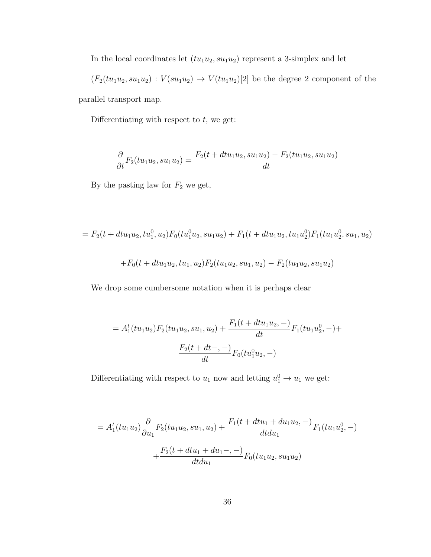In the local coordinates let  $(tu_1u_2, su_1u_2)$  represent a 3-simplex and let

 $(F_2(tu_1u_2, su_1u_2) : V(su_1u_2) \rightarrow V(tu_1u_2)[2]$  be the degree 2 component of the parallel transport map.

Differentiating with respect to  $t$ , we get:

$$
\frac{\partial}{\partial t}F_2(tu_1u_2, su_1u_2) = \frac{F_2(t + dt u_1u_2, su_1u_2) - F_2(tu_1u_2, su_1u_2)}{dt}
$$

By the pasting law for  $F_2$  we get,

$$
= F_2(t + dt u_1 u_2, tu_1^0, u_2) F_0(tu_1^0 u_2, su_1 u_2) + F_1(t + dt u_1 u_2, tu_1 u_2^0) F_1(tu_1 u_2^0, su_1, u_2)
$$

$$
+F_0(t+du_1u_2, tu_1, u_2)F_2(tu_1u_2, su_1, u_2) - F_2(tu_1u_2, su_1u_2)
$$

We drop some cumbersome notation when it is perhaps clear

$$
= A_1^t(tu_1u_2)F_2(tu_1u_2, su_1, u_2) + \frac{F_1(t + dtu_1u_2, -)}{dt}F_1(tu_1u_2^0, -) +
$$

$$
\frac{F_2(t + dt, -)}{dt}F_0(tu_1^0u_2, -)
$$

Differentiating with respect to  $u_1$  now and letting  $u_1^0 \rightarrow u_1$  we get:

$$
= A_1^t(tu_1u_2)\frac{\partial}{\partial u_1}F_2(tu_1u_2, su_1, u_2) + \frac{F_1(t + dtu_1 + du_1u_2, -)}{dtdu_1}F_1(tu_1u_2^0, -)
$$

$$
+ \frac{F_2(t + dtu_1 + du_1, -)}{dtdu_1}F_0(tu_1u_2, su_1u_2)
$$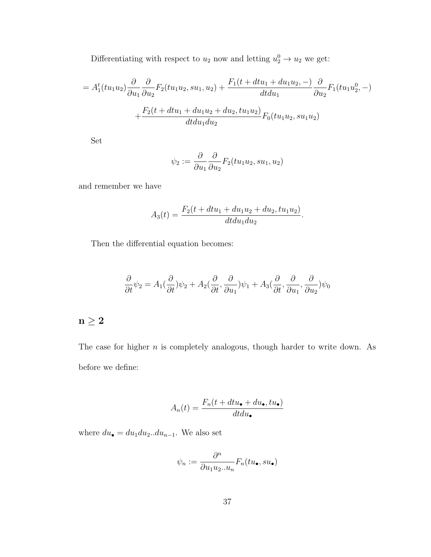Differentiating with respect to  $u_2$  now and letting  $u_2^0 \rightarrow u_2$  we get:

$$
= A_1^t(tu_1u_2)\frac{\partial}{\partial u_1}\frac{\partial}{\partial u_2}F_2(tu_1u_2, su_1, u_2) + \frac{F_1(t + dtu_1 + du_1u_2, -)}{dtdu_1}\frac{\partial}{\partial u_2}F_1(tu_1u_2^0, -) + \frac{F_2(t + dtu_1 + du_1u_2 + du_2, tu_1u_2)}{dtdu_1du_2}F_0(tu_1u_2, su_1u_2)
$$

Set

$$
\psi_2 := \frac{\partial}{\partial u_1} \frac{\partial}{\partial u_2} F_2(tu_1u_2, su_1, u_2)
$$

and remember we have

$$
A_3(t) = \frac{F_2(t + dt u_1 + du_1 u_2 + du_2, tu_1 u_2)}{dt du_1 du_2}.
$$

Then the differential equation becomes:

$$
\frac{\partial}{\partial t}\psi_2 = A_1(\frac{\partial}{\partial t})\psi_2 + A_2(\frac{\partial}{\partial t}, \frac{\partial}{\partial u_1})\psi_1 + A_3(\frac{\partial}{\partial t}, \frac{\partial}{\partial u_1}, \frac{\partial}{\partial u_2})\psi_0
$$

## $n\geq 2$

The case for higher  $n$  is completely analogous, though harder to write down. As before we define:

$$
A_n(t) = \frac{F_n(t + dt u_{\bullet} + du_{\bullet}, tu_{\bullet})}{dt du_{\bullet}}
$$

where  $du_{\bullet} = du_1 du_2...du_{n-1}$ . We also set

$$
\psi_n:=\frac{\partial^n}{\partial u_1u_2..u_n}F_n(tu_{\bullet},su_{\bullet})
$$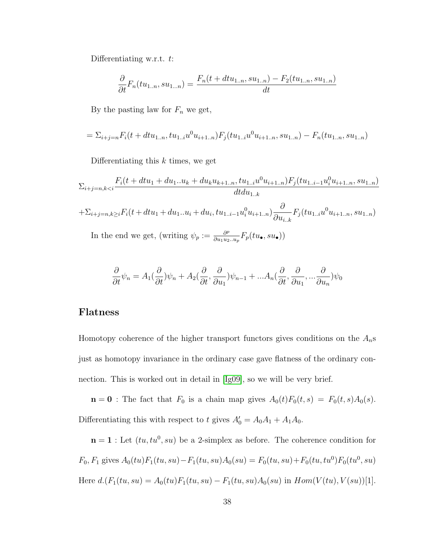Differentiating w.r.t. t:

$$
\frac{\partial}{\partial t}F_n(tu_{1..n}, su_{1...n}) = \frac{F_n(t + dtu_{1..n}, su_{1..n}) - F_2(tu_{1..n}, su_{1..n})}{dt}
$$

By the pasting law for  $F_n$  we get,

$$
= \sum_{i+j=n} F_i(t + dt u_{1..n}, tu_{1..i} u^0 u_{i+1..n}) F_j(t u_{1..i} u^0 u_{i+1..n}, su_{1..n}) - F_n(t u_{1..n}, su_{1..n})
$$

Differentiating this  $k$  times, we get

$$
\Sigma_{i+j=n,k
$$
+ \Sigma_{i+j=n,k\geq i} F_i(t+dt u_1+du_1...u_i+du_i, tu_{1..i-1}u_i^0 u_{i+1..n}) \frac{\partial}{\partial u_{i..k}} F_j(t u_{1..i}u^0 u_{i+1..n}, su_{1..n})
$$
  
In the end we get (writing  $v_i := -\frac{\partial^p}{\partial u_{i..k}} F_i(t u_{1..i}u^0 u_{i+1..n}, su_{1..n})$
$$

In the end we get, (writing  $\psi_p := \frac{\partial^p}{\partial u_1 u_2}$  $\frac{\partial^p}{\partial u_1 u_2 .. u_p} F_p(t u_{\bullet}, s u_{\bullet}))$ 

$$
\frac{\partial}{\partial t}\psi_n = A_1(\frac{\partial}{\partial t})\psi_n + A_2(\frac{\partial}{\partial t}, \frac{\partial}{\partial u_1})\psi_{n-1} + ... A_n(\frac{\partial}{\partial t}, \frac{\partial}{\partial u_1}, ... \frac{\partial}{\partial u_n})\psi_0
$$

### Flatness

Homotopy coherence of the higher transport functors gives conditions on the  $A_n$ s just as homotopy invariance in the ordinary case gave flatness of the ordinary connection. This is worked out in detail in [\[Ig09\]](#page-68-0), so we will be very brief.

 $\mathbf{n} = \mathbf{0}$  : The fact that  $F_0$  is a chain map gives  $A_0(t)F_0(t, s) = F_0(t, s)A_0(s)$ . Differentiating this with respect to t gives  $A'_0 = A_0A_1 + A_1A_0$ .

 $\mathbf{n} = \mathbf{1}$ : Let  $(tu, tu^0, su)$  be a 2-simplex as before. The coherence condition for  $F_0, F_1$  gives  $A_0(tu)F_1(tu, su) - F_1(tu, su)A_0(su) = F_0(tu, su) + F_0(tu, tu^0)F_0(tu^0, su)$ Here  $d.(F_1(tu, su) = A_0(tu)F_1(tu, su) - F_1(tu, su)A_0(su)$  in  $Hom(V(tu), V(su))[1].$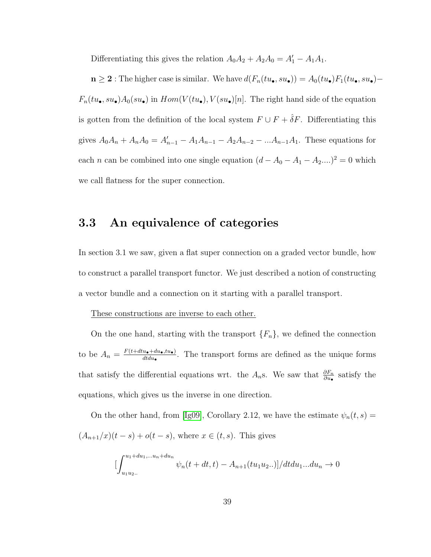Differentiating this gives the relation  $A_0A_2 + A_2A_0 = A'_1 - A_1A_1$ .

 $n \geq 2$ : The higher case is similar. We have  $d(F_n(tu_{\bullet}, su_{\bullet})) = A_0(tu_{\bullet})F_1(tu_{\bullet}, su_{\bullet}) F_n(tu_{\bullet}, su_{\bullet})A_0(su_{\bullet})$  in  $Hom(V(tu_{\bullet}), V(su_{\bullet})[n]$ . The right hand side of the equation is gotten from the definition of the local system  $F \cup F + \hat{\delta}F$ . Differentiating this gives  $A_0A_n + A_nA_0 = A'_{n-1} - A_1A_{n-1} - A_2A_{n-2} - ... A_{n-1}A_1$ . These equations for each *n* can be combined into one single equation  $(d - A_0 - A_1 - A_2,...)^2 = 0$  which we call flatness for the super connection.

## <span id="page-45-0"></span>3.3 An equivalence of categories

In section 3.1 we saw, given a flat super connection on a graded vector bundle, how to construct a parallel transport functor. We just described a notion of constructing a vector bundle and a connection on it starting with a parallel transport.

#### These constructions are inverse to each other.

On the one hand, starting with the transport  $\{F_n\}$ , we defined the connection to be  $A_n = \frac{F(t+dt\mathbf{u}_\bullet + du_\bullet, tu_\bullet)}{dt\mathbf{d}_\bullet}$  $\frac{u_{\bullet} + du_{\bullet}, tu_{\bullet}}{d t du_{\bullet}}$ . The transport forms are defined as the unique forms that satisfy the differential equations wrt. the  $A_n$ s. We saw that  $\frac{\partial F_n}{\partial u_\bullet}$  satisfy the equations, which gives us the inverse in one direction.

On the other hand, from [\[Ig09\]](#page-68-0), Corollary 2.12, we have the estimate  $\psi_n(t,s)$  =  $(A_{n+1}/x)(t - s) + o(t - s)$ , where  $x \in (t, s)$ . This gives

$$
\left[\int_{u_1u_2...}^{u_1+du_1,...u_n+du_n} \psi_n(t+dt,t) - A_{n+1}(tu_1u_2...)\right] / dt du_1...du_n \to 0
$$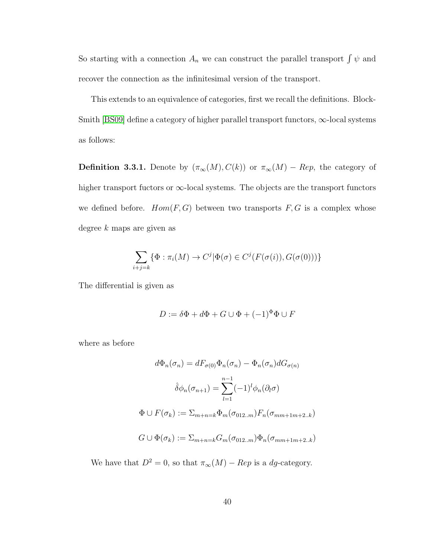So starting with a connection  $A_n$  we can construct the parallel transport  $\int \psi$  and recover the connection as the infinitesimal version of the transport.

This extends to an equivalence of categories, first we recall the definitions. Block-Smith [\[BS09\]](#page-67-0) define a category of higher parallel transport functors,  $\infty$ -local systems as follows:

**Definition 3.3.1.** Denote by  $(\pi_{\infty}(M), C(k))$  or  $\pi_{\infty}(M)$  – Rep, the category of higher transport fuctors or  $\infty$ -local systems. The objects are the transport functors we defined before.  $Hom(F, G)$  between two transports  $F, G$  is a complex whose degree k maps are given as

$$
\sum_{i+j=k} \{ \Phi : \pi_i(M) \to C^j | \Phi(\sigma) \in C^j(F(\sigma(i)), G(\sigma(0))) \}
$$

The differential is given as

$$
D := \delta \Phi + d\Phi + G \cup \Phi + (-1)^{\Phi} \Phi \cup F
$$

where as before

$$
d\Phi_n(\sigma_n) = dF_{\sigma(0)}\Phi_n(\sigma_n) - \Phi_n(\sigma_n)dG_{\sigma(n)}
$$

$$
\hat{\delta}\phi_n(\sigma_{n+1}) = \sum_{l=1}^{n-1} (-1)^l \phi_n(\partial_l \sigma)
$$

$$
\Phi \cup F(\sigma_k) := \sum_{m+n=k} \Phi_m(\sigma_{012..m}) F_n(\sigma_{mm+1m+2..k})
$$

$$
G \cup \Phi(\sigma_k) := \sum_{m+n=k} G_m(\sigma_{012..m}) \Phi_n(\sigma_{mm+1m+2..k})
$$

We have that  $D^2 = 0$ , so that  $\pi_{\infty}(M) - Rep$  is a *dg*-category.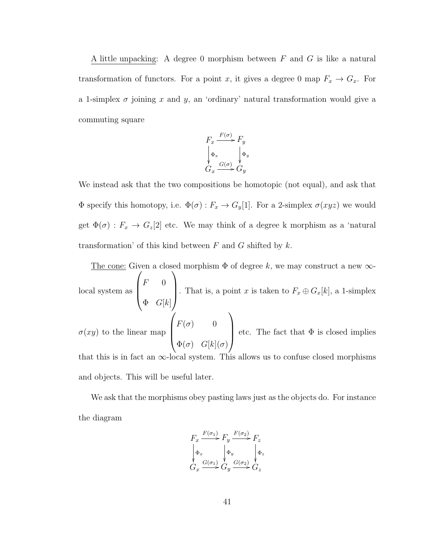A little unpacking: A degree 0 morphism between  $F$  and  $G$  is like a natural transformation of functors. For a point x, it gives a degree 0 map  $F_x \to G_x$ . For a 1-simplex  $\sigma$  joining x and y, an 'ordinary' natural transformation would give a commuting square

$$
F_x \xrightarrow{F(\sigma)} F_y
$$
  
\n
$$
\downarrow_{\Phi_x} \qquad \downarrow_{\Phi_y}
$$
  
\n
$$
G_x \xrightarrow{G(\sigma)} G_y
$$

We instead ask that the two compositions be homotopic (not equal), and ask that  $\Phi$  specify this homotopy, i.e.  $\Phi(\sigma) : F_x \to G_y[1]$ . For a 2-simplex  $\sigma(xyz)$  we would get  $\Phi(\sigma) : F_x \to G_z[2]$  etc. We may think of a degree k morphism as a 'natural transformation' of this kind between  $F$  and  $G$  shifted by  $k$ .

The cone: Given a closed morphism  $\Phi$  of degree k, we may construct a new  $\infty$ local system as  $\sqrt{ }$  $\vert$  $F = 0$  $\Phi$   $G[k]$  $\setminus$ . That is, a point x is taken to  $F_x \oplus G_x[k]$ , a 1-simplex  $\sigma(xy)$  to the linear map  $\sqrt{ }$  $\overline{\phantom{a}}$  $F(\sigma)$  0  $\Phi(\sigma)$   $G[k](\sigma)$  $\setminus$ etc. The fact that  $\Phi$  is closed implies that this is in fact an  $\infty$ -local system. This allows us to confuse closed morphisms and objects. This will be useful later.

We ask that the morphisms obey pasting laws just as the objects do. For instance the diagram

$$
F_x \xrightarrow{F(\sigma_1)} F_y \xrightarrow{F(\sigma_2)} F_z
$$
  
\n
$$
\downarrow \Phi_x \qquad \downarrow \Phi_y \qquad \downarrow \Phi_z
$$
  
\n
$$
G_x \xrightarrow{G(\sigma_1)} G_y \xrightarrow{G(\sigma_2)} G_z
$$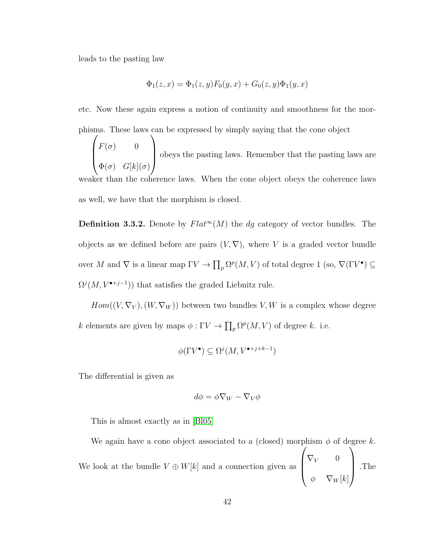leads to the pasting law

$$
\Phi_1(z, x) = \Phi_1(z, y) F_0(y, x) + G_0(z, y) \Phi_1(y, x)
$$

etc. Now these again express a notion of continuity and smoothness for the morphisms. These laws can be expressed by simply saying that the cone object

 $\sqrt{ }$  $\overline{\phantom{a}}$  $F(\sigma) = 0$  $\Phi(\sigma)$   $G[k](\sigma)$  $\setminus$  obeys the pasting laws. Remember that the pasting laws are weaker than the coherence laws. When the cone object obeys the coherence laws as well, we have that the morphism is closed.

**Definition 3.3.2.** Denote by  $Flat^{\infty}(M)$  the dg category of vector bundles. The objects as we defined before are pairs  $(V, \nabla)$ , where V is a graded vector bundle over M and  $\nabla$  is a linear map  $\Gamma V \to \prod_p \Omega^p(M, V)$  of total degree 1 (so,  $\nabla(\Gamma V^{\bullet}) \subseteq$  $\Omega^{j}(M, V^{\bullet+j-1})$  that satisfies the graded Liebnitz rule.

 $Hom((V, \nabla_V), (W, \nabla_W))$  between two bundles V, W is a complex whose degree k elements are given by maps  $\phi : \Gamma V \to \prod_p \Omega^p(M, V)$  of degree k. i.e.

$$
\phi(\Gamma V^{\bullet}) \subseteq \Omega^{j}(M, V^{\bullet+j+k-1})
$$

The differential is given as

$$
d\phi = \phi \nabla_W - \nabla_V \phi
$$

This is almost exactly as in [\[Bl05\]](#page-67-2)

We again have a cone object associated to a (closed) morphism  $\phi$  of degree k.

We look at the bundle  $V \oplus W[k]$  and a connection given as  $\sqrt{ }$  $\vert$  $\nabla_V$  0  $\phi \quad \nabla_W[k]$  $\setminus$ .The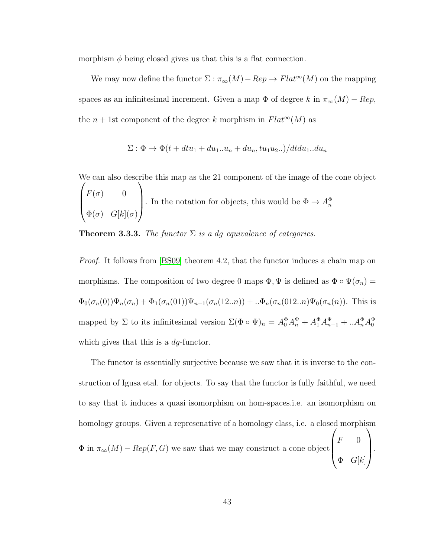morphism  $\phi$  being closed gives us that this is a flat connection.

We may now define the functor  $\Sigma : \pi_{\infty}(M) - Rep \to Flat^{\infty}(M)$  on the mapping spaces as an infinitesimal increment. Given a map  $\Phi$  of degree k in  $\pi_{\infty}(M) - Rep$ , the  $n + 1$ st component of the degree k morphism in  $Flat^{\infty}(M)$  as

$$
\Sigma: \Phi \to \Phi(t + dt u_1 + du_1 \ldots u_n + du_n, tu_1 u_2 \ldots) / dt du_1 \ldots du_n
$$

We can also describe this map as the 21 component of the image of the cone object  $\sqrt{ }$  $\overline{\phantom{a}}$  $F(\sigma) = 0$  $\Phi(\sigma)$   $G[k](\sigma)$  $\setminus$ . In the notation for objects, this would be  $\Phi \to A_n^{\Phi}$ 

**Theorem 3.3.3.** The functor  $\Sigma$  is a dg equivalence of categories.

*Proof.* It follows from [\[BS09\]](#page-67-0) theorem 4.2, that the functor induces a chain map on morphisms. The composition of two degree 0 maps  $\Phi$ ,  $\Psi$  is defined as  $\Phi \circ \Psi(\sigma_n) =$  $\Phi_0(\sigma_n(0))\Psi_n(\sigma_n) + \Phi_1(\sigma_n(01))\Psi_{n-1}(\sigma_n(12..n)) +..\Phi_n(\sigma_n(012..n)\Psi_0(\sigma_n(n))$ . This is mapped by  $\Sigma$  to its infinitesimal version  $\Sigma(\Phi \circ \Psi)_n = A_0^{\Phi} A_n^{\Psi} + A_1^{\Phi} A_{n-1}^{\Psi} + ... A_n^{\Phi} A_0^{\Psi}$ which gives that this is a *dq*-functor.

The functor is essentially surjective because we saw that it is inverse to the construction of Igusa etal. for objects. To say that the functor is fully faithful, we need to say that it induces a quasi isomorphism on hom-spaces.i.e. an isomorphism on homology groups. Given a represenative of a homology class, i.e. a closed morphism  $\Phi$  in  $\pi_{\infty}(M) - Rep(F, G)$  we saw that we may construct a cone object  $\sqrt{ }$  $\overline{\phantom{a}}$  $F = 0$  $\Phi$   $G[k]$  $\setminus$  $\left| \cdot \right|$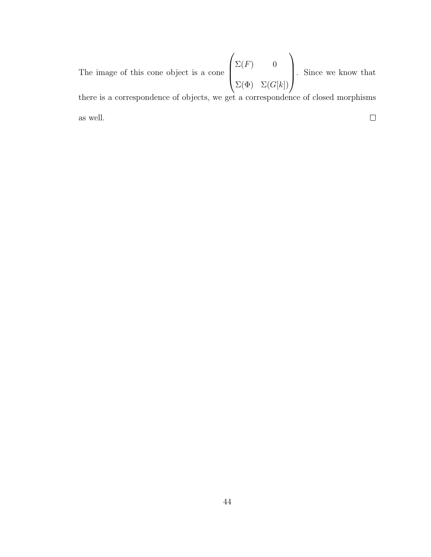$\sqrt{ }$  $\setminus$  $\Sigma(F)$  0  $\overline{\phantom{a}}$  . Since we know that The image of this cone object is a cone  $\Sigma(\Phi)$   $\Sigma(G[k])$ there is a correspondence of objects, we get a correspondence of closed morphisms  $\Box$ as well.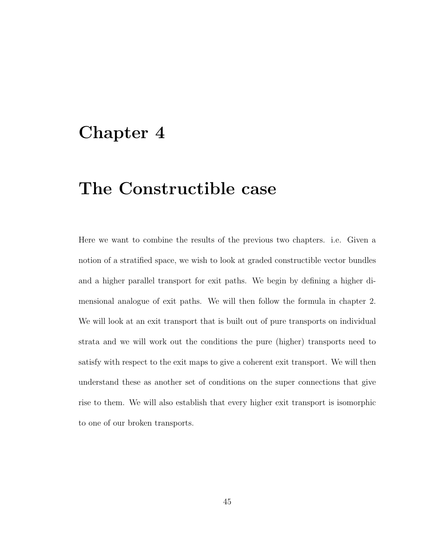# <span id="page-51-0"></span>Chapter 4

# The Constructible case

Here we want to combine the results of the previous two chapters. i.e. Given a notion of a stratified space, we wish to look at graded constructible vector bundles and a higher parallel transport for exit paths. We begin by defining a higher dimensional analogue of exit paths. We will then follow the formula in chapter 2. We will look at an exit transport that is built out of pure transports on individual strata and we will work out the conditions the pure (higher) transports need to satisfy with respect to the exit maps to give a coherent exit transport. We will then understand these as another set of conditions on the super connections that give rise to them. We will also establish that every higher exit transport is isomorphic to one of our broken transports.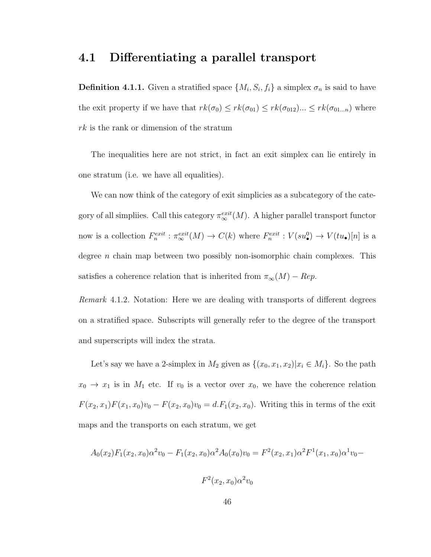### <span id="page-52-0"></span>4.1 Differentiating a parallel transport

**Definition 4.1.1.** Given a stratified space  $\{M_i, S_i, f_i\}$  a simplex  $\sigma_n$  is said to have the exit property if we have that  $rk(\sigma_0) \leq rk(\sigma_{01}) \leq rk(\sigma_{012})... \leq rk(\sigma_{01...n})$  where rk is the rank or dimension of the stratum

The inequalities here are not strict, in fact an exit simplex can lie entirely in one stratum (i.e. we have all equalities).

We can now think of the category of exit simplicies as a subcategory of the category of all simpliies. Call this category  $\pi_{\infty}^{exit}(M)$ . A higher parallel transport functor now is a collection  $F_n^{exit} : \pi_{\infty}^{exit}(M) \to C(k)$  where  $F_n^{exit} : V(su_{\bullet}^0) \to V(tu_{\bullet})[n]$  is a degree *n* chain map between two possibly non-isomorphic chain complexes. This satisfies a coherence relation that is inherited from  $\pi_{\infty}(M) - Rep$ .

Remark 4.1.2. Notation: Here we are dealing with transports of different degrees on a stratified space. Subscripts will generally refer to the degree of the transport and superscripts will index the strata.

Let's say we have a 2-simplex in  $M_2$  given as  $\{(x_0, x_1, x_2)|x_i \in M_i\}$ . So the path  $x_0 \to x_1$  is in  $M_1$  etc. If  $v_0$  is a vector over  $x_0$ , we have the coherence relation  $F(x_2, x_1)F(x_1, x_0)v_0 - F(x_2, x_0)v_0 = d.F_1(x_2, x_0)$ . Writing this in terms of the exit maps and the transports on each stratum, we get

$$
A_0(x_2)F_1(x_2, x_0)\alpha^2v_0 - F_1(x_2, x_0)\alpha^2A_0(x_0)v_0 = F^2(x_2, x_1)\alpha^2F^1(x_1, x_0)\alpha^1v_0 - F^2(x_2, x_0)\alpha^2v_0
$$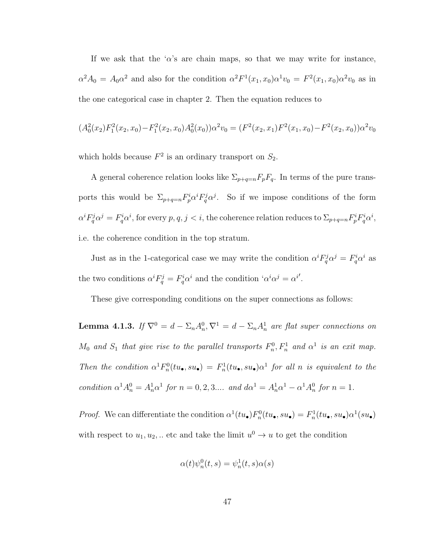If we ask that the ' $\alpha$ 's are chain maps, so that we may write for instance,  $\alpha^2 A_0 = A_0 \alpha^2$  and also for the condition  $\alpha^2 F^1(x_1, x_0) \alpha^1 v_0 = F^2(x_1, x_0) \alpha^2 v_0$  as in the one categorical case in chapter 2. Then the equation reduces to

$$
(A_0^2(x_2)F_1^2(x_2,x_0) - F_1^2(x_2,x_0)A_0^2(x_0))\alpha^2 v_0 = (F^2(x_2,x_1)F^2(x_1,x_0) - F^2(x_2,x_0))\alpha^2 v_0
$$

which holds because  $F^2$  is an ordinary transport on  $S_2$ .

A general coherence relation looks like  $\Sigma_{p+q=n}F_pF_q$ . In terms of the pure transports this would be  $\Sigma_{p+q=n} F_p^i \alpha^i F_q^j \alpha^j$ . So if we impose conditions of the form  $\alpha^i F_q^j \alpha^j = F_q^i \alpha^i$ , for every  $p, q, j < i$ , the coherence relation reduces to  $\Sigma_{p+q=n} F_p^i F_q^i \alpha^i$ , i.e. the coherence condition in the top stratum.

Just as in the 1-categorical case we may write the condition  $\alpha^i F_q^j \alpha^j = F_q^i \alpha^i$  as the two conditions  $\alpha^i F_q^j = F_q^i \alpha^i$  and the condition ' $\alpha^i \alpha^j = \alpha^{i'}$ .

These give corresponding conditions on the super connections as follows:

**Lemma 4.1.3.** If  $\nabla^0 = d - \Sigma_n A_n^0$ ,  $\nabla^1 = d - \Sigma_n A_n^1$  are flat super connections on  $M_0$  and  $S_1$  that give rise to the parallel transports  $F_n^0, F_n^1$  and  $\alpha^1$  is an exit map. Then the condition  $\alpha^1 F_n^0(tu_{\bullet}, su_{\bullet}) = F_n^1(tu_{\bullet}, su_{\bullet})\alpha^1$  for all n is equivalent to the condition  $\alpha^1 A_n^0 = A_n^1 \alpha^1$  for  $n = 0, 2, 3...$  and  $d\alpha^1 = A_n^1 \alpha^1 - \alpha^1 A_n^0$  for  $n = 1$ .

*Proof.* We can differentiate the condition  $\alpha^1(tu_0)F_n^0(tu_0, su_0) = F_n^1(tu_0, su_0)\alpha^1(su_0)$ with respect to  $u_1, u_2, \ldots$  etc and take the limit  $u^0 \to u$  to get the condition

$$
\alpha(t)\psi_n^0(t,s) = \psi_n^1(t,s)\alpha(s)
$$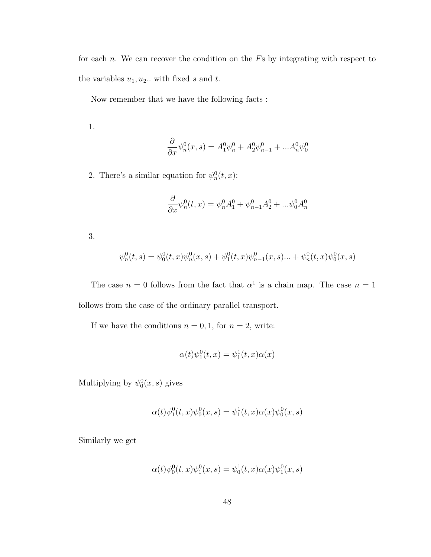for each  $n$ . We can recover the condition on the  $Fs$  by integrating with respect to the variables  $u_1, u_2$ .. with fixed s and t.

Now remember that we have the following facts :

1.

$$
\frac{\partial}{\partial x}\psi_n^0(x,s) = A_1^0 \psi_n^0 + A_2^0 \psi_{n-1}^0 + ... A_n^0 \psi_0^0
$$

2. There's a similar equation for  $\psi_n^0(t, x)$ :

$$
\frac{\partial}{\partial x}\psi_n^0(t,x) = \psi_n^0 A_1^0 + \psi_{n-1}^0 A_2^0 + \dots \psi_0^0 A_n^0
$$

3.

$$
\psi_n^0(t,s) = \psi_0^0(t,x)\psi_n^0(x,s) + \psi_1^0(t,x)\psi_{n-1}^0(x,s)... + \psi_n^0(t,x)\psi_0^0(x,s)
$$

The case  $n = 0$  follows from the fact that  $\alpha^1$  is a chain map. The case  $n = 1$ follows from the case of the ordinary parallel transport.

If we have the conditions  $n = 0, 1$ , for  $n = 2$ , write:

$$
\alpha(t)\psi_1^0(t,x) = \psi_1^1(t,x)\alpha(x)
$$

Multiplying by  $\psi_0^0(x, s)$  gives

$$
\alpha(t)\psi_1^0(t,x)\psi_0^0(x,s) = \psi_1^1(t,x)\alpha(x)\psi_0^0(x,s)
$$

Similarly we get

$$
\alpha(t)\psi_0^0(t,x)\psi_1^0(x,s) = \psi_0^1(t,x)\alpha(x)\psi_1^0(x,s)
$$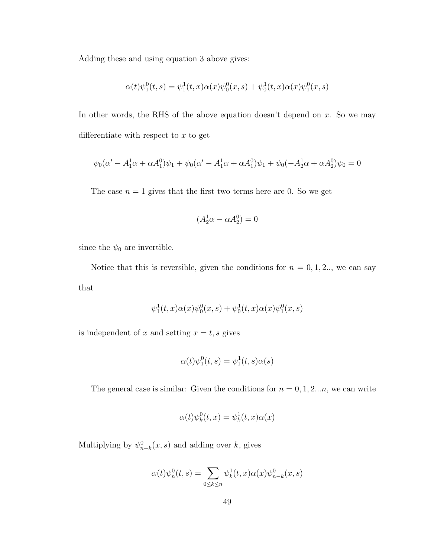Adding these and using equation 3 above gives:

$$
\alpha(t)\psi_1^0(t,s) = \psi_1^1(t,x)\alpha(x)\psi_0^0(x,s) + \psi_0^1(t,x)\alpha(x)\psi_1^0(x,s)
$$

In other words, the RHS of the above equation doesn't depend on  $x$ . So we may differentiate with respect to  $x$  to get

$$
\psi_0(\alpha' - A_1^1 \alpha + \alpha A_1^0)\psi_1 + \psi_0(\alpha' - A_1^1 \alpha + \alpha A_1^0)\psi_1 + \psi_0(-A_2^1 \alpha + \alpha A_2^0)\psi_0 = 0
$$

The case  $n = 1$  gives that the first two terms here are 0. So we get

$$
(A_2^1 \alpha - \alpha A_2^0) = 0
$$

since the  $\psi_0$  are invertible.

Notice that this is reversible, given the conditions for  $n = 0, 1, 2, \ldots$ , we can say that

$$
\psi_1^1(t,x)\alpha(x)\psi_0^0(x,s) + \psi_0^1(t,x)\alpha(x)\psi_1^0(x,s)
$$

is independent of x and setting  $x = t$ , s gives

$$
\alpha(t)\psi_1^0(t,s)=\psi_1^1(t,s)\alpha(s)
$$

The general case is similar: Given the conditions for  $n = 0, 1, 2...n$ , we can write

$$
\alpha(t)\psi_k^0(t,x) = \psi_k^1(t,x)\alpha(x)
$$

Multiplying by  $\psi_{n-k}^0(x, s)$  and adding over k, gives

$$
\alpha(t)\psi_n^0(t,s) = \sum_{0 \le k \le n} \psi_k^1(t,x)\alpha(x)\psi_{n-k}^0(x,s)
$$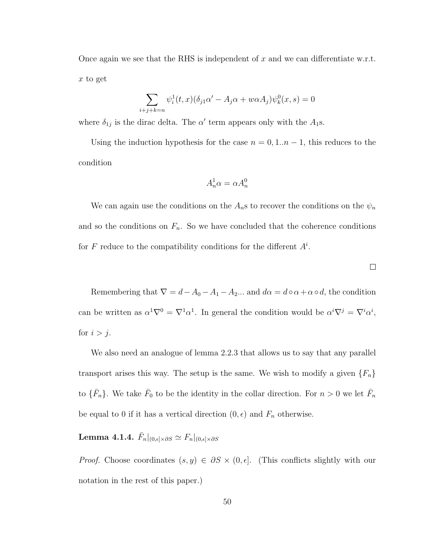Once again we see that the RHS is independent of x and we can differentiate w.r.t.  $x$  to get

$$
\sum_{i+j+k=n} \psi_i^1(t,x)(\delta_{j1}\alpha' - A_j\alpha + w\alpha A_j)\psi_k^0(x,s) = 0
$$

where  $\delta_{1j}$  is the dirac delta. The  $\alpha'$  term appears only with the  $A_1$ s.

Using the induction hypothesis for the case  $n = 0, 1..n - 1$ , this reduces to the condition

$$
A_n^1 \alpha = \alpha A_n^0
$$

We can again use the conditions on the  $A_n$ s to recover the conditions on the  $\psi_n$ and so the conditions on  $F_n$ . So we have concluded that the coherence conditions for F reduce to the compatibility conditions for the different  $A^i$ .

Remembering that  $\nabla = d - A_0 - A_1 - A_2 ...$  and  $d\alpha = d \circ \alpha + \alpha \circ d$ , the condition can be written as  $\alpha^1 \nabla^0 = \nabla^1 \alpha^1$ . In general the condition would be  $\alpha^i \nabla^j = \nabla^i \alpha^i$ , for  $i > j$ .

We also need an analogue of lemma 2.2.3 that allows us to say that any parallel transport arises this way. The setup is the same. We wish to modify a given  $\{F_n\}$ to  $\{\bar{F}_n\}$ . We take  $\bar{F}_0$  to be the identity in the collar direction. For  $n > 0$  we let  $\bar{F}_n$ be equal to 0 if it has a vertical direction  $(0, \epsilon)$  and  $F_n$  otherwise.

## Lemma 4.1.4.  $\bar{F}_n|_{(0,\epsilon]\times\partial S}\simeq F_n|_{(0,\epsilon]\times\partial S}$

*Proof.* Choose coordinates  $(s, y) \in \partial S \times (0, \epsilon]$ . (This conflicts slightly with our notation in the rest of this paper.)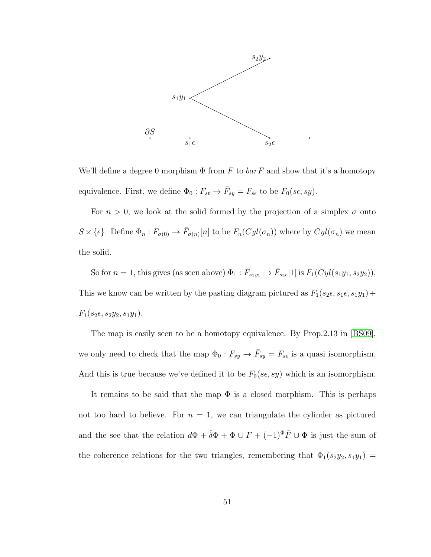

We'll define a degree 0 morphism  $\Phi$  from F to  $bar F$  and show that it's a homotopy equivalence. First, we define  $\Phi_0: F_{st} \to \overline{F}_{sy} = F_{se}$  to be  $F_0(s\epsilon, sy)$ .

For  $n > 0$ , we look at the solid formed by the projection of a simplex  $\sigma$  onto  $S \times \{\epsilon\}$ . Define  $\Phi_n : F_{\sigma(0)} \to \bar{F}_{\sigma(n)}[n]$  to be  $F_n(Cyl(\sigma_n))$  where by  $Cyl(\sigma_n)$  we mean the solid.

So for  $n = 1$ , this gives (as seen above)  $\Phi_1: F_{s_1y_1} \to \overline{F}_{s_2\epsilon}[1]$  is  $F_1(Cyl(s_1y_1, s_2y_2))$ , This we know can be written by the pasting diagram pictured as  $F_1(s_2,\epsilon,s_1,\epsilon,s_1y_1)+$  $F_1(s_2,\epsilon, s_2y_2, s_1y_1).$ 

The map is easily seen to be a homotopy equivalence. By Prop.2.13 in [\[BS09\]](#page-67-0), we only need to check that the map  $\Phi_0: F_{sy} \to \bar{F}_{sy} = F_{se}$  is a quasi isomorphism. And this is true because we've defined it to be  $F_0(s\epsilon, sy)$  which is an isomorphism.

It remains to be said that the map  $\Phi$  is a closed morphism. This is perhaps not too hard to believe. For  $n = 1$ , we can triangulate the cylinder as pictured and the see that the relation  $d\Phi + \hat{\delta}\Phi + \Phi \cup F + (-1)^{\Phi} \overline{F} \cup \Phi$  is just the sum of the coherence relations for the two triangles, remembering that  $\Phi_1(s_2y_2, s_1y_1)$  =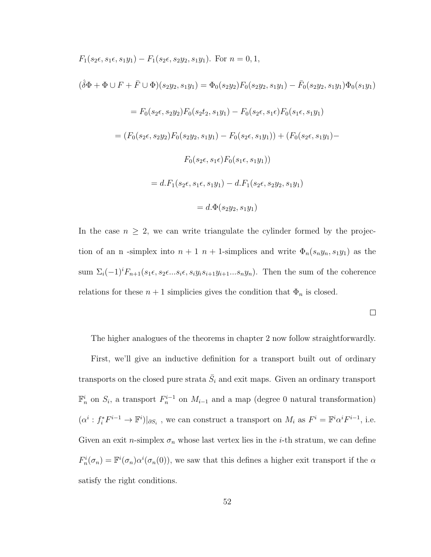$$
F_1(s_2 \epsilon, s_1 \epsilon, s_1 y_1) - F_1(s_2 \epsilon, s_2 y_2, s_1 y_1).
$$
 For  $n = 0, 1$ ,  
\n
$$
(\hat{\delta}\Phi + \Phi \cup F + \bar{F} \cup \Phi)(s_2 y_2, s_1 y_1) = \Phi_0(s_2 y_2) F_0(s_2 y_2, s_1 y_1) - \bar{F}_0(s_2 y_2, s_1 y_1) \Phi_0(s_1 y_1)
$$
\n
$$
= F_0(s_2 \epsilon, s_2 y_2) F_0(s_2 t_2, s_1 y_1) - F_0(s_2 \epsilon, s_1 \epsilon) F_0(s_1 \epsilon, s_1 y_1)
$$
\n
$$
= (F_0(s_2 \epsilon, s_2 y_2) F_0(s_2 y_2, s_1 y_1) - F_0(s_2 \epsilon, s_1 y_1)) + (F_0(s_2 \epsilon, s_1 y_1) - F_0(s_2 \epsilon, s_1 \epsilon) F_0(s_1 \epsilon, s_1 y_1))
$$
\n
$$
= d.F_1(s_2 \epsilon, s_1 \epsilon, s_1 y_1) - d.F_1(s_2 \epsilon, s_2 y_2, s_1 y_1)
$$
\n
$$
= d.\Phi(s_2 y_2, s_1 y_1)
$$

In the case  $n \geq 2$ , we can write triangulate the cylinder formed by the projection of an n-simplex into  $n + 1$   $n + 1$ -simplices and write  $\Phi_n(s_n y_n, s_1 y_1)$  as the sum  $\Sigma_i(-1)^i F_{n+1}(s_1,\epsilon, s_2,\epsilon...s_i,\epsilon, s_iy_i s_{i+1}y_{i+1}...s_ny_n)$ . Then the sum of the coherence relations for these  $n + 1$  simplicies gives the condition that  $\Phi_n$  is closed.

The higher analogues of the theorems in chapter 2 now follow straightforwardly.

First, we'll give an inductive definition for a transport built out of ordinary transports on the closed pure strata  $\bar{S}_i$  and exit maps. Given an ordinary transport  $\mathbb{F}_n^i$  on  $S_i$ , a transport  $F_n^{i-1}$  on  $M_{i-1}$  and a map (degree 0 natural transformation)  $(\alpha^i : f_i^* F^{i-1} \to \mathbb{F}^i)|_{\partial S_i}$ , we can construct a transport on  $M_i$  as  $F^i = \mathbb{F}^i \alpha^i F^{i-1}$ , i.e. Given an exit n-simplex  $\sigma_n$  whose last vertex lies in the *i*-th stratum, we can define  $F_n^i(\sigma_n) = \mathbb{F}^i(\sigma_n) \alpha^i(\sigma_n(0))$ , we saw that this defines a higher exit transport if the  $\alpha$ satisfy the right conditions.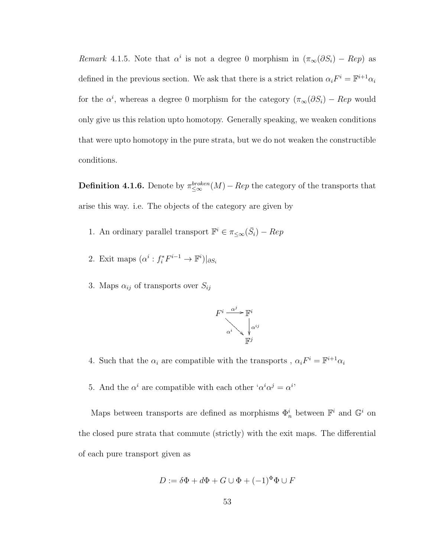Remark 4.1.5. Note that  $\alpha^i$  is not a degree 0 morphism in  $(\pi_\infty(\partial S_i) - Rep)$  as defined in the previous section. We ask that there is a strict relation  $\alpha_i F^i = \mathbb{F}^{i+1} \alpha_i$ for the  $\alpha^i$ , whereas a degree 0 morphism for the category  $(\pi_{\infty}(\partial S_i) - Rep$  would only give us this relation upto homotopy. Generally speaking, we weaken conditions that were upto homotopy in the pure strata, but we do not weaken the constructible conditions.

**Definition 4.1.6.** Denote by  $\pi_{\leq\infty}^{broken}(M) - Rep$  the category of the transports that arise this way. i.e. The objects of the category are given by

- 1. An ordinary parallel transport  $\mathbb{F}^i \in \pi_{\leq \infty}(\bar{S}_i) Rep$
- 2. Exit maps  $(\alpha^i : f_i^* F^{i-1} \to \mathbb{F}^i)|_{\partial S_i}$
- 3. Maps  $\alpha_{ij}$  of transports over  $S_{ij}$



- 4. Such that the  $\alpha_i$  are compatible with the transports ,  $\alpha_i F^i = \mathbb{F}^{i+1} \alpha_i$
- 5. And the  $\alpha^i$  are compatible with each other ' $\alpha^i \alpha^j = \alpha^{i}$ '

Maps between transports are defined as morphisms  $\Phi_n^i$  between  $\mathbb{F}^i$  and  $\mathbb{G}^i$  on the closed pure strata that commute (strictly) with the exit maps. The differential of each pure transport given as

$$
D := \delta \Phi + d\Phi + G \cup \Phi + (-1)^{\Phi} \Phi \cup F
$$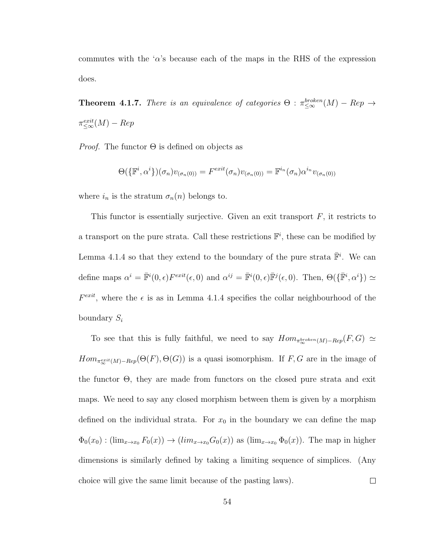commutes with the ' $\alpha$ 's because each of the maps in the RHS of the expression does.

**Theorem 4.1.7.** There is an equivalence of categories  $\Theta$  :  $\pi_{\leq \infty}^{broken}(M) - Rep \rightarrow$  $\pi_{\leq \infty}^{exit}(M) - Rep$ 

*Proof.* The functor  $\Theta$  is defined on objects as

$$
\Theta(\{\mathbb{F}^i,\alpha^i\})(\sigma_n)v_{(\sigma_n(0))} = F^{exit}(\sigma_n)v_{(\sigma_n(0))} = \mathbb{F}^{i_n}(\sigma_n)\alpha^{i_n}v_{(\sigma_n(0))}
$$

where  $i_n$  is the stratum  $\sigma_n(n)$  belongs to.

This functor is essentially surjective. Given an exit transport  $F$ , it restricts to a transport on the pure strata. Call these restrictions  $\mathbb{F}^i$ , these can be modified by Lemma 4.1.4 so that they extend to the boundary of the pure strata  $\overline{\mathbb{F}}^i$ . We can define maps  $\alpha^i = \overline{\mathbb{F}}^i(0, \epsilon) F^{exit}(\epsilon, 0)$  and  $\alpha^{ij} = \overline{\mathbb{F}}^i(0, \epsilon) \overline{\mathbb{F}}^j(\epsilon, 0)$ . Then,  $\Theta(\{\overline{\mathbb{F}}^i, \alpha^i\}) \simeq$  $F^{exit}$ , where the  $\epsilon$  is as in Lemma 4.1.4 specifies the collar neighbourhood of the boundary  $S_i$ 

To see that this is fully faithful, we need to say  $Hom_{\pi_{\infty}^{broken}(M)-Rep}(F, G) \simeq$  $Hom_{\pi_{\infty}^{exit}(M)-Rep}(\Theta(F), \Theta(G))$  is a quasi isomorphism. If F, G are in the image of the functor Θ, they are made from functors on the closed pure strata and exit maps. We need to say any closed morphism between them is given by a morphism defined on the individual strata. For  $x_0$  in the boundary we can define the map  $\Phi_0(x_0) : (\lim_{x\to x_0} F_0(x)) \to (lim_{x\to x_0} G_0(x))$  as  $(\lim_{x\to x_0} \Phi_0(x))$ . The map in higher dimensions is similarly defined by taking a limiting sequence of simplices. (Any choice will give the same limit because of the pasting laws).  $\Box$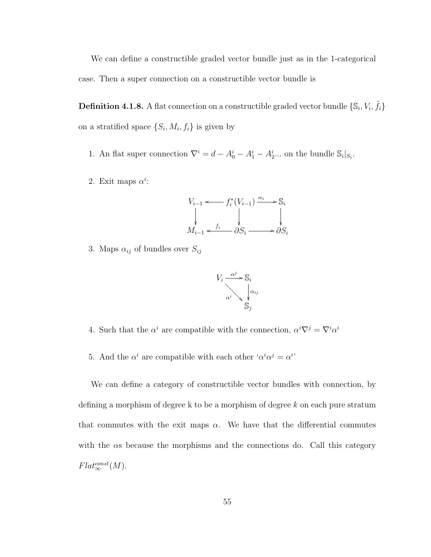We can define a constructible graded vector bundle just as in the 1-categorical case. Then a super connection on a constructible vector bundle is

**Definition 4.1.8.** A flat connection on a constructible graded vector bundle  $\{\mathbb{S}_i, V_i, \tilde{f}_i\}$ on a stratified space  $\{S_i, M_i, f_i\}$  is given by

- 1. An flat super connection  $\nabla^i = d A_0^i A_1^i A_2^i \dots$  on the bundle  $\mathbb{S}_i|_{S_i}$ .
- 2. Exit maps  $\alpha^i$ :

$$
V_{i-1} \xleftarrow{} f_i^*(V_{i-1}) \xrightarrow{\alpha_i} \mathbb{S}_i
$$
  
\n
$$
\downarrow \qquad \qquad \downarrow \qquad \qquad \downarrow
$$
  
\n
$$
M_{i-1} \xleftarrow{f_i} \partial S_i \longrightarrow \partial S_i
$$

3. Maps  $\alpha_{ij}$  of bundles over  $S_{ij}$ 



- 4. Such that the  $\alpha^i$  are compatible with the connection,  $\alpha^i \nabla^j = \nabla^i \alpha^i$
- 5. And the  $\alpha^i$  are compatible with each other ' $\alpha^i \alpha^j = \alpha^{i}$ '

We can define a category of constructible vector bundles with connection, by defining a morphism of degree k to be a morphism of degree k on each pure stratum that commutes with the exit maps  $\alpha$ . We have that the differential commutes with the  $\alpha s$  because the morphisms and the connections do. Call this category  $Flat_{\infty}^{const}(M)$ .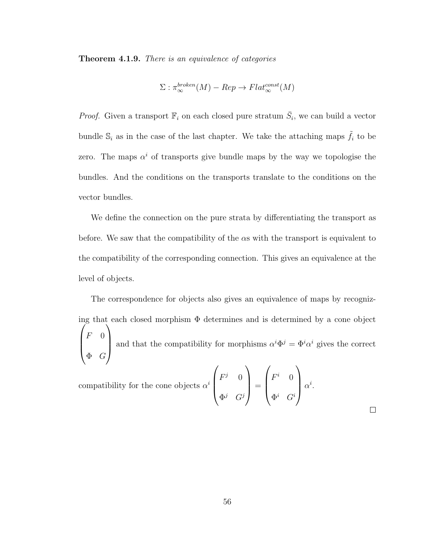Theorem 4.1.9. There is an equivalence of categories

$$
\Sigma : \pi_{\infty}^{broken}(M) - Rep \to Flat_{\infty}^{const}(M)
$$

*Proof.* Given a transport  $\mathbb{F}_i$  on each closed pure stratum  $\overline{S}_i$ , we can build a vector bundle  $\mathbb{S}_i$  as in the case of the last chapter. We take the attaching maps  $\tilde{f}_i$  to be zero. The maps  $\alpha^{i}$  of transports give bundle maps by the way we topologise the bundles. And the conditions on the transports translate to the conditions on the vector bundles.

We define the connection on the pure strata by differentiating the transport as before. We saw that the compatibility of the  $\alpha s$  with the transport is equivalent to the compatibility of the corresponding connection. This gives an equivalence at the level of objects.

The correspondence for objects also gives an equivalence of maps by recognizing that each closed morphism  $\Phi$  determines and is determined by a cone object  $\sqrt{ }$  $\overline{\phantom{a}}$  $F \quad 0$  $\Phi$  G  $\setminus$ and that the compatibility for morphisms  $\alpha^i \Phi^j = \Phi^i \alpha^i$  gives the correct

compatibility for the cone objects  $\alpha^i$  $\sqrt{ }$  $\overline{\phantom{a}}$  $F^j=0$  $\Phi^j$   $G^j$  $\setminus$  $\Bigg) =$  $\sqrt{ }$  $\vert$  $F^i$  0  $\Phi^i$   $G^i$  $\setminus$  $\alpha^i$ .

 $\Box$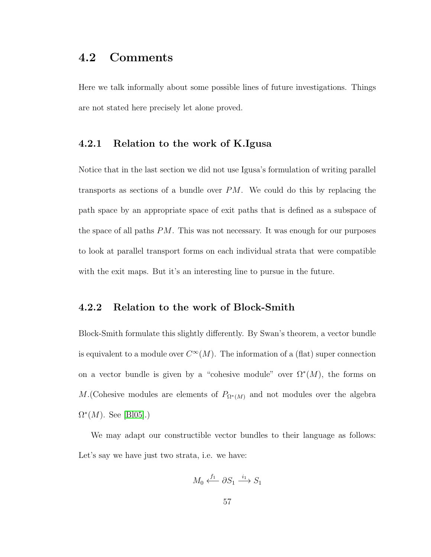## <span id="page-63-0"></span>4.2 Comments

Here we talk informally about some possible lines of future investigations. Things are not stated here precisely let alone proved.

### <span id="page-63-1"></span>4.2.1 Relation to the work of K.Igusa

Notice that in the last section we did not use Igusa's formulation of writing parallel transports as sections of a bundle over  $PM$ . We could do this by replacing the path space by an appropriate space of exit paths that is defined as a subspace of the space of all paths PM. This was not necessary. It was enough for our purposes to look at parallel transport forms on each individual strata that were compatible with the exit maps. But it's an interesting line to pursue in the future.

### <span id="page-63-2"></span>4.2.2 Relation to the work of Block-Smith

Block-Smith formulate this slightly differently. By Swan's theorem, a vector bundle is equivalent to a module over  $C^{\infty}(M)$ . The information of a (flat) super connection on a vector bundle is given by a "cohesive module" over  $\Omega^*(M)$ , the forms on M. (Cohesive modules are elements of  $P_{\Omega^*(M)}$  and not modules over the algebra  $\Omega^*(M)$ . See [\[Bl05\]](#page-67-2).)

We may adapt our constructible vector bundles to their language as follows: Let's say we have just two strata, i.e. we have:

$$
M_0 \xleftarrow{f_1} \partial S_1 \xrightarrow{i_1} S_1
$$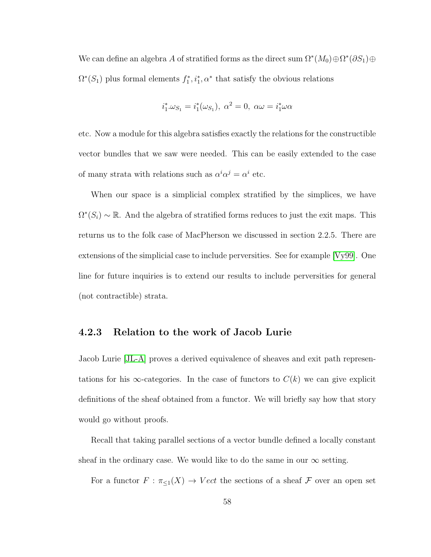We can define an algebra A of stratified forms as the direct sum  $\Omega^*(M_0) \oplus \Omega^*(\partial S_1) \oplus$  $\Omega^*(S_1)$  plus formal elements  $f_1^*, i_1^*, \alpha^*$  that satisfy the obvious relations

$$
i_1^* \omega_{S_1} = i_1^* (\omega_{S_1}), \ \alpha^2 = 0, \ \alpha \omega = i_1^* \omega \alpha
$$

etc. Now a module for this algebra satisfies exactly the relations for the constructible vector bundles that we saw were needed. This can be easily extended to the case of many strata with relations such as  $\alpha^i \alpha^j = \alpha^i$  etc.

When our space is a simplicial complex stratified by the simplices, we have  $\Omega^*(S_i) \sim \mathbb{R}$ . And the algebra of stratified forms reduces to just the exit maps. This returns us to the folk case of MacPherson we discussed in section 2.2.5. There are extensions of the simplicial case to include perversities. See for example [\[Vy99\]](#page-68-2). One line for future inquiries is to extend our results to include perversities for general (not contractible) strata.

### <span id="page-64-0"></span>4.2.3 Relation to the work of Jacob Lurie

Jacob Lurie [\[JL-A\]](#page-68-3) proves a derived equivalence of sheaves and exit path representations for his  $\infty$ -categories. In the case of functors to  $C(k)$  we can give explicit definitions of the sheaf obtained from a functor. We will briefly say how that story would go without proofs.

Recall that taking parallel sections of a vector bundle defined a locally constant sheaf in the ordinary case. We would like to do the same in our  $\infty$  setting.

For a functor  $F : \pi_{\leq 1}(X) \to Vect$  the sections of a sheaf  $\mathcal F$  over an open set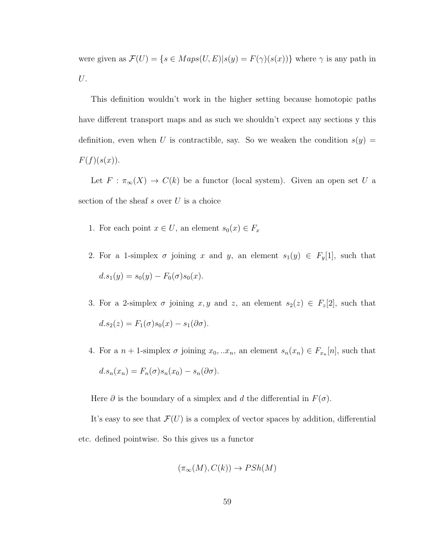were given as  $\mathcal{F}(U) = \{s \in Maps(U, E)|s(y) = F(\gamma)(s(x))\}$  where  $\gamma$  is any path in U.

This definition wouldn't work in the higher setting because homotopic paths have different transport maps and as such we shouldn't expect any sections y this definition, even when U is contractible, say. So we weaken the condition  $s(y)$  =  $F(f)(s(x)).$ 

Let  $F : \pi_{\infty}(X) \to C(k)$  be a functor (local system). Given an open set U a section of the sheaf  $s$  over  $U$  is a choice

- 1. For each point  $x \in U$ , an element  $s_0(x) \in F_x$
- 2. For a 1-simplex  $\sigma$  joining x and y, an element  $s_1(y) \in F_y[1]$ , such that  $d.s<sub>1</sub>(y) = s<sub>0</sub>(y) - F<sub>0</sub>(\sigma)s<sub>0</sub>(x).$
- 3. For a 2-simplex  $\sigma$  joining  $x, y$  and  $z$ , an element  $s_2(z) \in F_z[2]$ , such that  $d.s<sub>2</sub>(z) = F<sub>1</sub>(\sigma)s<sub>0</sub>(x) - s<sub>1</sub>(\partial\sigma).$
- 4. For a  $n+1$ -simplex  $\sigma$  joining  $x_0, ... x_n$ , an element  $s_n(x_n) \in F_{x_n}[n]$ , such that  $d.s_n(x_n) = F_n(\sigma)s_n(x_0) - s_n(\partial \sigma).$

Here  $\partial$  is the boundary of a simplex and d the differential in  $F(\sigma)$ .

It's easy to see that  $\mathcal{F}(U)$  is a complex of vector spaces by addition, differential etc. defined pointwise. So this gives us a functor

$$
(\pi_{\infty}(M), C(k)) \to PSh(M)
$$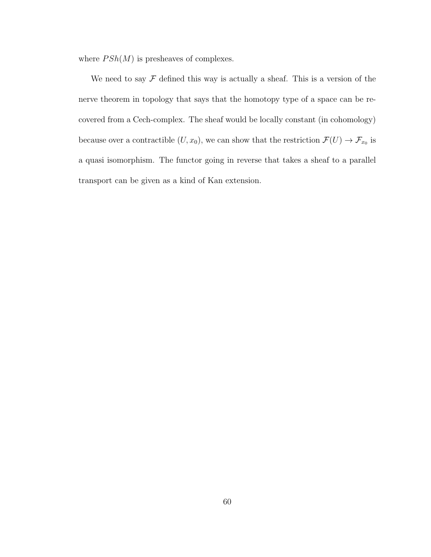where  $P Sh(M)$  is presheaves of complexes.

We need to say  $\mathcal F$  defined this way is actually a sheaf. This is a version of the nerve theorem in topology that says that the homotopy type of a space can be recovered from a Cech-complex. The sheaf would be locally constant (in cohomology) because over a contractible  $(U, x_0)$ , we can show that the restriction  $\mathcal{F}(U) \to \mathcal{F}_{x_0}$  is a quasi isomorphism. The functor going in reverse that takes a sheaf to a parallel transport can be given as a kind of Kan extension.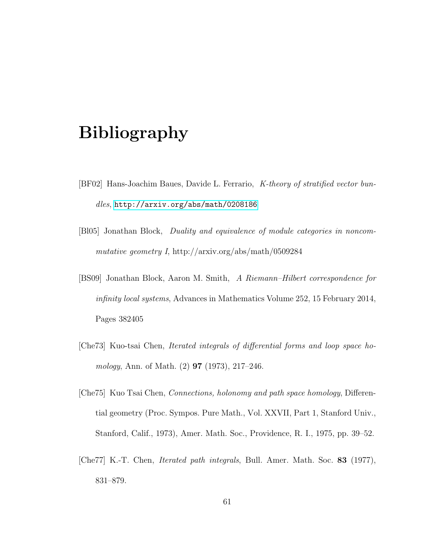# Bibliography

- <span id="page-67-1"></span>[BF02] Hans-Joachim Baues, Davide L. Ferrario, K-theory of stratified vector bundles, <http://arxiv.org/abs/math/0208186>
- <span id="page-67-2"></span>[Bl05] Jonathan Block, Duality and equivalence of module categories in noncommutative geometry I, http://arxiv.org/abs/math/0509284
- <span id="page-67-0"></span>[BS09] Jonathan Block, Aaron M. Smith, A Riemann–Hilbert correspondence for infinity local systems, Advances in Mathematics Volume 252, 15 February 2014, Pages 382405
- [Che73] Kuo-tsai Chen, Iterated integrals of differential forms and loop space homology, Ann. of Math. (2) 97 (1973), 217–246.
- [Che75] Kuo Tsai Chen, Connections, holonomy and path space homology, Differential geometry (Proc. Sympos. Pure Math., Vol. XXVII, Part 1, Stanford Univ., Stanford, Calif., 1973), Amer. Math. Soc., Providence, R. I., 1975, pp. 39–52.
- [Che77] K.-T. Chen, Iterated path integrals, Bull. Amer. Math. Soc. 83 (1977), 831–879.